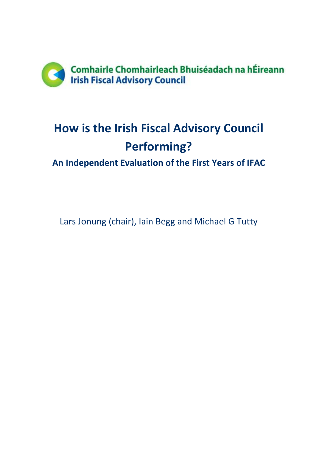

# **How is the Irish Fiscal Advisory Council Performing?**

**An Independent Evaluation of the First Years of IFAC**

Lars Jonung (chair), Iain Begg and Michael G Tutty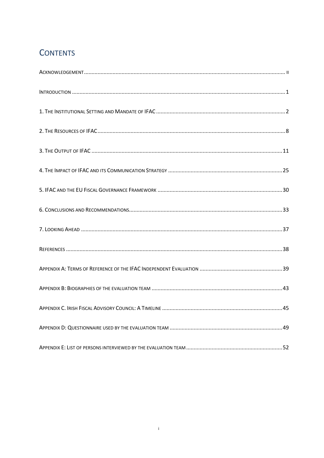## **CONTENTS**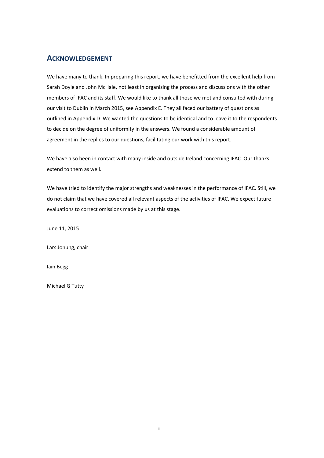### <span id="page-3-0"></span>**ACKNOWLEDGEMENT**

We have many to thank. In preparing this report, we have benefitted from the excellent help from Sarah Doyle and John McHale, not least in organizing the process and discussions with the other members of IFAC and its staff. We would like to thank all those we met and consulted with during our visit to Dublin in March 2015, see Appendix E. They all faced our battery of questions as outlined in Appendix D. We wanted the questions to be identical and to leave it to the respondents to decide on the degree of uniformity in the answers. We found a considerable amount of agreement in the replies to our questions, facilitating our work with this report.

We have also been in contact with many inside and outside Ireland concerning IFAC. Our thanks extend to them as well.

We have tried to identify the major strengths and weaknesses in the performance of IFAC. Still, we do not claim that we have covered all relevant aspects of the activities of IFAC. We expect future evaluations to correct omissions made by us at this stage.

June 11, 2015

Lars Jonung, chair

Iain Begg

Michael G Tutty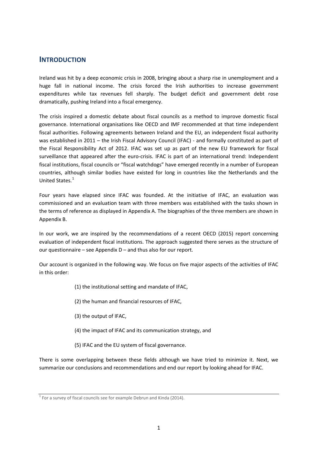## <span id="page-4-0"></span>**INTRODUCTION**

Ireland was hit by a deep economic crisis in 2008, bringing about a sharp rise in unemployment and a huge fall in national income. The crisis forced the Irish authorities to increase government expenditures while tax revenues fell sharply. The budget deficit and government debt rose dramatically, pushing Ireland into a fiscal emergency.

The crisis inspired a domestic debate about fiscal councils as a method to improve domestic fiscal governance. International organisations like OECD and IMF recommended at that time independent fiscal authorities. Following agreements between Ireland and the EU, an independent fiscal authority was established in 2011 – the Irish Fiscal Advisory Council (IFAC) - and formally constituted as part of the Fiscal Responsibility Act of 2012. IFAC was set up as part of the new EU framework for fiscal surveillance that appeared after the euro-crisis. IFAC is part of an international trend: Independent fiscal institutions, fiscal councils or "fiscal watchdogs" have emerged recently in a number of European countries, although similar bodies have existed for long in countries like the Netherlands and the United States.[1](#page-4-1)

Four years have elapsed since IFAC was founded. At the initiative of IFAC, an evaluation was commissioned and an evaluation team with three members was established with the tasks shown in the terms of reference as displayed in Appendix A. The biographies of the three members are shown in Appendix B.

In our work, we are inspired by the recommendations of a recent OECD (2015) report concerning evaluation of independent fiscal institutions. The approach suggested there serves as the structure of our questionnaire – see Appendix D – and thus also for our report.

Our account is organized in the following way. We focus on five major aspects of the activities of IFAC in this order:

- (1) the institutional setting and mandate of IFAC,
- (2) the human and financial resources of IFAC,
- (3) the output of IFAC,
- (4) the impact of IFAC and its communication strategy, and
- (5) IFAC and the EU system of fiscal governance.

There is some overlapping between these fields although we have tried to minimize it. Next, we summarize our conclusions and recommendations and end our report by looking ahead for IFAC.

<span id="page-4-1"></span> $1$  For a survey of fiscal councils see for example Debrun and Kinda (2014).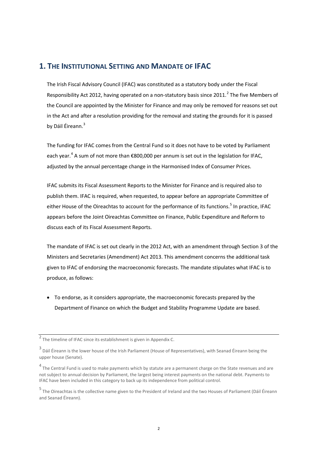## <span id="page-5-0"></span>**1. THE INSTITUTIONAL SETTING AND MANDATE OF IFAC**

The Irish Fiscal Advisory Council (IFAC) was constituted as a statutory body under the Fiscal Responsibility Act [2](#page-5-1)012, having operated on a non-statutory basis since 2011.<sup>2</sup> The five Members of the Council are appointed by the Minister for Finance and may only be removed for reasons set out in the Act and after a resolution providing for the removal and stating the grounds for it is passed by Dáil Éireann.<sup>[3](#page-5-2)</sup>

The funding for IFAC comes from the Central Fund so it does not have to be voted by Parliament each year.<sup>[4](#page-5-3)</sup> A sum of not more than  $\epsilon$ 800,000 per annum is set out in the legislation for IFAC, adjusted by the annual percentage change in the Harmonised Index of Consumer Prices.

IFAC submits its Fiscal Assessment Reports to the Minister for Finance and is required also to publish them. IFAC is required, when requested, to appear before an appropriate Committee of either House of the Oireachtas to account for the performance of its functions.<sup>[5](#page-5-4)</sup> In practice, IFAC appears before the Joint Oireachtas Committee on Finance, Public Expenditure and Reform to discuss each of its Fiscal Assessment Reports.

The mandate of IFAC is set out clearly in the 2012 Act, with an amendment through Section 3 of the Ministers and Secretaries (Amendment) Act 2013. This amendment concerns the additional task given to IFAC of endorsing the macroeconomic forecasts. The mandate stipulates what IFAC is to produce, as follows:

• To endorse, as it considers appropriate, the macroeconomic forecasts prepared by the Department of Finance on which the Budget and Stability Programme Update are based.

<span id="page-5-1"></span><sup>2</sup> The timeline of IFAC since its establishment is given in Appendix C.

<span id="page-5-2"></span><sup>3</sup> Dáil Éireann is the lower house of the Irish Parliament (House of Representatives), with Seanad Éireann being the upper house (Senate).

<span id="page-5-3"></span> $4$  The Central Fund is used to make payments which by statute are a permanent charge on the State revenues and are not subject to annual decision by Parliament, the largest being interest payments on the national debt. Payments to IFAC have been included in this category to back up its independence from political control.

<span id="page-5-4"></span><sup>5</sup> The Oireachtas is the collective name given to the President of Ireland and the two Houses of Parliament (Dáil Éireann and Seanad Éireann).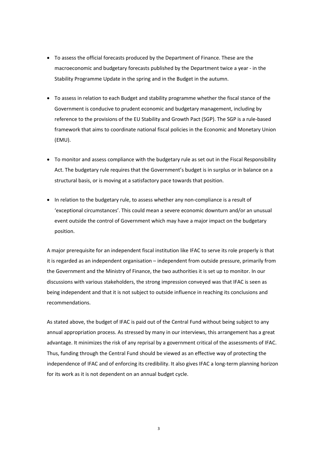- To assess the official forecasts produced by the Department of Finance. These are the macroeconomic and budgetary forecasts published by the Department twice a year - in the Stability Programme Update in the spring and in the Budget in the autumn.
- To assess in relation to each Budget and stability programme whether the fiscal stance of the Government is conducive to prudent economic and budgetary management, including by reference to the provisions of the EU Stability and Growth Pact (SGP). The SGP is a rule-based framework that aims to coordinate national fiscal policies in the Economic and Monetary Union (EMU).
- To monitor and assess compliance with the budgetary rule as set out in the Fiscal Responsibility Act. The budgetary rule requires that the Government's budget is in surplus or in balance on a structural basis, or is moving at a satisfactory pace towards that position.
- In relation to the budgetary rule, to assess whether any non-compliance is a result of 'exceptional circumstances'. This could mean a severe economic downturn and/or an unusual event outside the control of Government which may have a major impact on the budgetary position.

A major prerequisite for an independent fiscal institution like IFAC to serve its role properly is that it is regarded as an independent organisation – independent from outside pressure, primarily from the Government and the Ministry of Finance, the two authorities it is set up to monitor. In our discussions with various stakeholders, the strong impression conveyed was that IFAC is seen as being independent and that it is not subject to outside influence in reaching its conclusions and recommendations.

As stated above, the budget of IFAC is paid out of the Central Fund without being subject to any annual appropriation process. As stressed by many in our interviews, this arrangement has a great advantage. It minimizes the risk of any reprisal by a government critical of the assessments of IFAC. Thus, funding through the Central Fund should be viewed as an effective way of protecting the independence of IFAC and of enforcing its credibility. It also gives IFAC a long-term planning horizon for its work as it is not dependent on an annual budget cycle.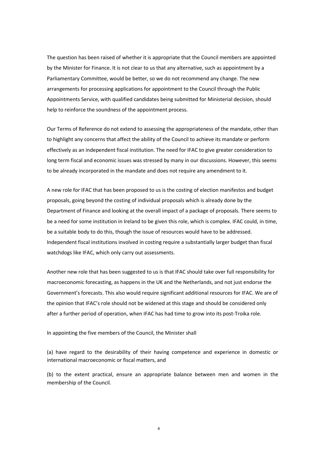The question has been raised of whether it is appropriate that the Council members are appointed by the Minister for Finance. It is not clear to us that any alternative, such as appointment by a Parliamentary Committee, would be better, so we do not recommend any change. The new arrangements for processing applications for appointment to the Council through the Public Appointments Service, with qualified candidates being submitted for Ministerial decision, should help to reinforce the soundness of the appointment process.

Our Terms of Reference do not extend to assessing the appropriateness of the mandate, other than to highlight any concerns that affect the ability of the Council to achieve its mandate or perform effectively as an independent fiscal institution. The need for IFAC to give greater consideration to long term fiscal and economic issues was stressed by many in our discussions. However, this seems to be already incorporated in the mandate and does not require any amendment to it.

A new role for IFAC that has been proposed to us is the costing of election manifestos and budget proposals, going beyond the costing of individual proposals which is already done by the Department of Finance and looking at the overall impact of a package of proposals. There seems to be a need for some institution in Ireland to be given this role, which is complex. IFAC could, in time, be a suitable body to do this, though the issue of resources would have to be addressed. Independent fiscal institutions involved in costing require a substantially larger budget than fiscal watchdogs like IFAC, which only carry out assessments.

Another new role that has been suggested to us is that IFAC should take over full responsibility for macroeconomic forecasting, as happens in the UK and the Netherlands, and not just endorse the Government's forecasts. This also would require significant additional resources for IFAC. We are of the opinion that IFAC's role should not be widened at this stage and should be considered only after a further period of operation, when IFAC has had time to grow into its post-Troika role.

In appointing the five members of the Council, the Minister shall

(a) have regard to the desirability of their having competence and experience in domestic or international macroeconomic or fiscal matters, and

(b) to the extent practical, ensure an appropriate balance between men and women in the membership of the Council.

4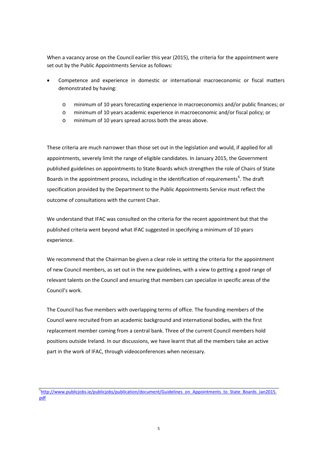When a vacancy arose on the Council earlier this year (2015), the criteria for the appointment were set out by the Public Appointments Service as follows:

- Competence and experience in domestic or international macroeconomic or fiscal matters demonstrated by having:
	- o minimum of 10 years forecasting experience in macroeconomics and/or public finances; or
	- o minimum of 10 years academic experience in macroeconomic and/or fiscal policy; or
	- o minimum of 10 years spread across both the areas above.

These criteria are much narrower than those set out in the legislation and would, if applied for all appointments, severely limit the range of eligible candidates. In January 2015, the Government published guidelines on appointments to State Boards which strengthen the role of Chairs of State Boards in the appointment process, including in the identification of requirements<sup>[6](#page-8-0)</sup>. The draft specification provided by the Department to the Public Appointments Service must reflect the outcome of consultations with the current Chair.

We understand that IFAC was consulted on the criteria for the recent appointment but that the published criteria went beyond what IFAC suggested in specifying a minimum of 10 years experience.

We recommend that the Chairman be given a clear role in setting the criteria for the appointment of new Council members, as set out in the new guidelines, with a view to getting a good range of relevant talents on the Council and ensuring that members can specialize in specific areas of the Council's work.

The Council has five members with overlapping terms of office. The founding members of the Council were recruited from an academic background and international bodies, with the first replacement member coming from a central bank. Three of the current Council members hold positions outside Ireland. In our discussions, we have learnt that all the members take an active part in the work of IFAC, through videoconferences when necessary.

<span id="page-8-0"></span><sup>&</sup>lt;sup>6</sup>[http://www.publicjobs.ie/publicjobs/publication/document/Guidelines\\_on\\_Appointments\\_to\\_State\\_Boards\\_Jan2015.](http://www.publicjobs.ie/publicjobs/publication/document/Guidelines_on_Appointments_to_State_Boards_Jan2015.pdf) [pdf](http://www.publicjobs.ie/publicjobs/publication/document/Guidelines_on_Appointments_to_State_Boards_Jan2015.pdf)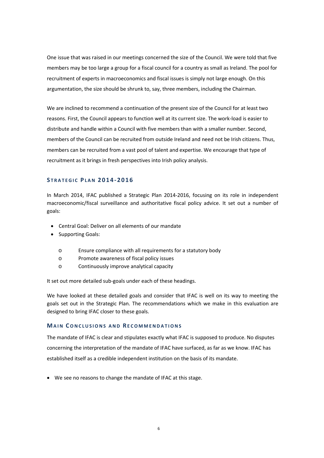One issue that was raised in our meetings concerned the size of the Council. We were told that five members may be too large a group for a fiscal council for a country as small as Ireland. The pool for recruitment of experts in macroeconomics and fiscal issues is simply not large enough. On this argumentation, the size should be shrunk to, say, three members, including the Chairman.

We are inclined to recommend a continuation of the present size of the Council for at least two reasons. First, the Council appears to function well at its current size. The work-load is easier to distribute and handle within a Council with five members than with a smaller number. Second, members of the Council can be recruited from outside Ireland and need not be Irish citizens. Thus, members can be recruited from a vast pool of talent and expertise. We encourage that type of recruitment as it brings in fresh perspectives into Irish policy analysis.

#### **S TRAT EGIC PLAN 2014-2016**

In March 2014, IFAC published a Strategic Plan 2014-2016, focusing on its role in independent macroeconomic/fiscal surveillance and authoritative fiscal policy advice. It set out a number of goals:

- Central Goal: Deliver on all elements of our mandate
- Supporting Goals:
	- o Ensure compliance with all requirements for a statutory body
	- o Promote awareness of fiscal policy issues
	- o Continuously improve analytical capacity

It set out more detailed sub-goals under each of these headings.

We have looked at these detailed goals and consider that IFAC is well on its way to meeting the goals set out in the Strategic Plan. The recommendations which we make in this evaluation are designed to bring IFAC closer to these goals.

#### **MAIN CONCLUSIONS AND RECOMMENDATIONS**

The mandate of IFAC is clear and stipulates exactly what IFAC is supposed to produce. No disputes concerning the interpretation of the mandate of IFAC have surfaced, as far as we know. IFAC has established itself as a credible independent institution on the basis of its mandate.

• We see no reasons to change the mandate of IFAC at this stage.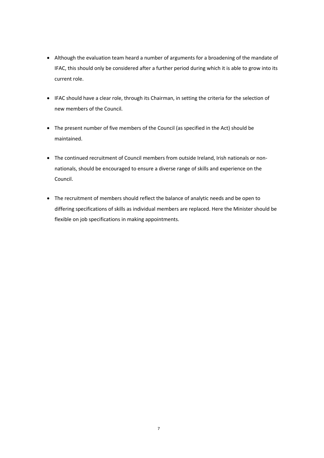- Although the evaluation team heard a number of arguments for a broadening of the mandate of IFAC, this should only be considered after a further period during which it is able to grow into its current role.
- IFAC should have a clear role, through its Chairman, in setting the criteria for the selection of new members of the Council.
- The present number of five members of the Council (as specified in the Act) should be maintained.
- The continued recruitment of Council members from outside Ireland, Irish nationals or nonnationals, should be encouraged to ensure a diverse range of skills and experience on the Council.
- The recruitment of members should reflect the balance of analytic needs and be open to differing specifications of skills as individual members are replaced. Here the Minister should be flexible on job specifications in making appointments.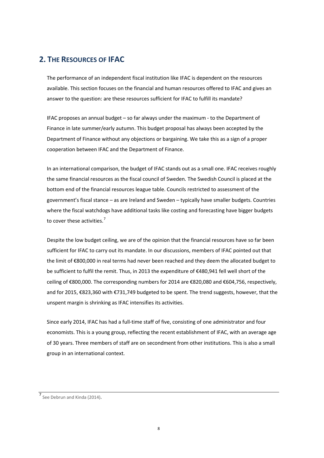## <span id="page-11-0"></span>**2. THE RESOURCES OF IFAC**

The performance of an independent fiscal institution like IFAC is dependent on the resources available. This section focuses on the financial and human resources offered to IFAC and gives an answer to the question: are these resources sufficient for IFAC to fulfill its mandate?

IFAC proposes an annual budget – so far always under the maximum - to the Department of Finance in late summer/early autumn. This budget proposal has always been accepted by the Department of Finance without any objections or bargaining. We take this as a sign of a proper cooperation between IFAC and the Department of Finance.

In an international comparison, the budget of IFAC stands out as a small one. IFAC receives roughly the same financial resources as the fiscal council of Sweden*.* The Swedish Council is placed at the bottom end of the financial resources league table. Councils restricted to assessment of the government's fiscal stance – as are Ireland and Sweden – typically have smaller budgets. Countries where the fiscal watchdogs have additional tasks like costing and forecasting have bigger budgets to cover these activities.<sup>[7](#page-11-1)</sup>

Despite the low budget ceiling, we are of the opinion that the financial resources have so far been sufficient for IFAC to carry out its mandate. In our discussions, members of IFAC pointed out that the limit of €800,000 in real terms had never been reached and they deem the allocated budget to be sufficient to fulfil the remit. Thus, in 2013 the expenditure of €480,941 fell well short of the ceiling of €800,000. The corresponding numbers for 2014 are €820,080 and €604,756, respectively, and for 2015, €823,360 with €731,749 budgeted to be spent. The trend suggests, however, that the unspent margin is shrinking as IFAC intensifies its activities.

Since early 2014, IFAC has had a full-time staff of five, consisting of one administrator and four economists. This is a young group, reflecting the recent establishment of IFAC, with an average age of 30 years. Three members of staff are on secondment from other institutions. This is also a small group in an international context.

<span id="page-11-1"></span>**<sup>7</sup>** See Debrun and Kinda (2014)**.**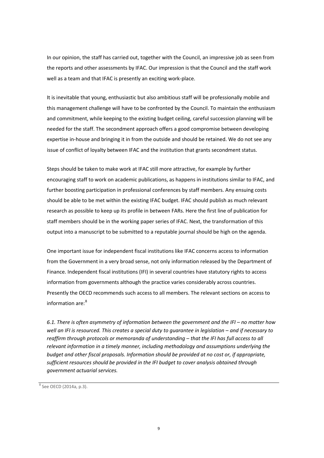In our opinion, the staff has carried out, together with the Council, an impressive job as seen from the reports and other assessments by IFAC. Our impression is that the Council and the staff work well as a team and that IFAC is presently an exciting work-place.

It is inevitable that young, enthusiastic but also ambitious staff will be professionally mobile and this management challenge will have to be confronted by the Council. To maintain the enthusiasm and commitment, while keeping to the existing budget ceiling, careful succession planning will be needed for the staff. The secondment approach offers a good compromise between developing expertise in-house and bringing it in from the outside and should be retained. We do not see any issue of conflict of loyalty between IFAC and the institution that grants secondment status.

Steps should be taken to make work at IFAC still more attractive, for example by further encouraging staff to work on academic publications, as happens in institutions similar to IFAC, and further boosting participation in professional conferences by staff members. Any ensuing costs should be able to be met within the existing IFAC budget. IFAC should publish as much relevant research as possible to keep up its profile in between FARs. Here the first line of publication for staff members should be in the working paper series of IFAC. Next, the transformation of this output into a manuscript to be submitted to a reputable journal should be high on the agenda.

One important issue for independent fiscal institutions like IFAC concerns access to information from the Government in a very broad sense, not only information released by the Department of Finance. Independent fiscal institutions (IFI) in several countries have statutory rights to access information from governments although the practice varies considerably across countries. Presently the OECD recommends such access to all members. The relevant sections on access to information are: [8](#page-12-0)

*6.1. There is often asymmetry of information between the government and the IFI – no matter how well an IFI is resourced. This creates a special duty to guarantee in legislation – and if necessary to reaffirm through protocols or memoranda of understanding – that the IFI has full access to all relevant information in a timely manner, including methodology and assumptions underlying the budget and other fiscal proposals. Information should be provided at no cost or, if appropriate, sufficient resources should be provided in the IFI budget to cover analysis obtained through government actuarial services.* 

<span id="page-12-0"></span> $8$  See OECD (2014a, p.3).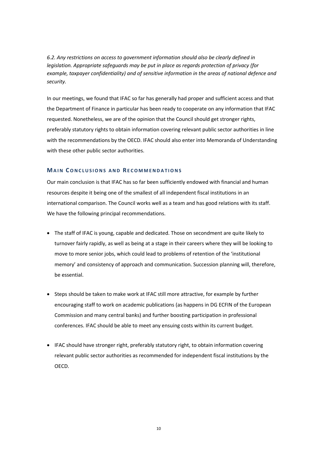*6.2. Any restrictions on access to government information should also be clearly defined in legislation. Appropriate safeguards may be put in place as regards protection of privacy (for example, taxpayer confidentiality) and of sensitive information in the areas of national defence and security.* 

In our meetings, we found that IFAC so far has generally had proper and sufficient access and that the Department of Finance in particular has been ready to cooperate on any information that IFAC requested. Nonetheless, we are of the opinion that the Council should get stronger rights, preferably statutory rights to obtain information covering relevant public sector authorities in line with the recommendations by the OECD. IFAC should also enter into Memoranda of Understanding with these other public sector authorities.

#### **MAIN CONCLUSIONS AND RECOMMENDATIONS**

Our main conclusion is that IFAC has so far been sufficiently endowed with financial and human resources despite it being one of the smallest of all independent fiscal institutions in an international comparison. The Council works well as a team and has good relations with its staff. We have the following principal recommendations.

- The staff of IFAC is young, capable and dedicated. Those on secondment are quite likely to turnover fairly rapidly, as well as being at a stage in their careers where they will be looking to move to more senior jobs, which could lead to problems of retention of the 'institutional memory' and consistency of approach and communication. Succession planning will, therefore, be essential.
- Steps should be taken to make work at IFAC still more attractive, for example by further encouraging staff to work on academic publications (as happens in DG ECFIN of the European Commission and many central banks) and further boosting participation in professional conferences. IFAC should be able to meet any ensuing costs within its current budget.
- IFAC should have stronger right, preferably statutory right, to obtain information covering relevant public sector authorities as recommended for independent fiscal institutions by the OECD.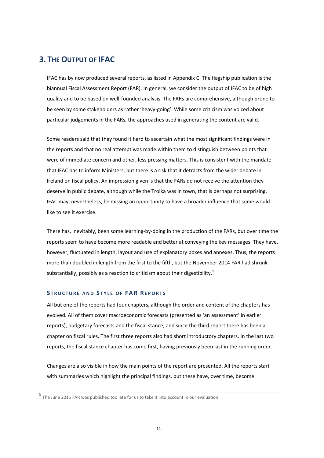## <span id="page-14-0"></span>**3. THE OUTPUT OF IFAC**

IFAC has by now produced several reports, as listed in Appendix C. The flagship publication is the biannual Fiscal Assessment Report (FAR). In general, we consider the output of IFAC to be of high quality and to be based on well-founded analysis. The FARs are comprehensive, although prone to be seen by some stakeholders as rather 'heavy-going'. While some criticism was voiced about particular judgements in the FARs, the approaches used in generating the content are valid.

Some readers said that they found it hard to ascertain what the most significant findings were in the reports and that no real attempt was made within them to distinguish between points that were of immediate concern and other, less pressing matters. This is consistent with the mandate that IFAC has to inform Ministers, but there is a risk that it detracts from the wider debate in Ireland on fiscal policy. An impression given is that the FARs do not receive the attention they deserve in public debate, although while the Troika was in town, that is perhaps not surprising. IFAC may, nevertheless, be missing an opportunity to have a broader influence that some would like to see it exercise.

There has, inevitably, been some learning-by-doing in the production of the FARs, but over time the reports seem to have become more readable and better at conveying the key messages. They have, however, fluctuated in length, layout and use of explanatory boxes and annexes. Thus, the reports more than doubled in length from the first to the fifth, but the November 2014 FAR had shrunk substantially, possibly as a reaction to criticism about their digestibility.<sup>[9](#page-14-1)</sup>

#### **S TRUCTURE AND S TYLE OF FAR REPORTS**

All but one of the reports had four chapters, although the order and content of the chapters has evolved. All of them cover macroeconomic forecasts (presented as 'an assessment' in earlier reports), budgetary forecasts and the fiscal stance, and since the third report there has been a chapter on fiscal rules. The first three reports also had short introductory chapters. In the last two reports, the fiscal stance chapter has come first, having previously been last in the running order.

Changes are also visible in how the main points of the report are presented. All the reports start with summaries which highlight the principal findings, but these have, over time, become

<span id="page-14-1"></span> $\frac{9}{9}$  The June 2015 FAR was published too late for us to take it into account in our evaluation.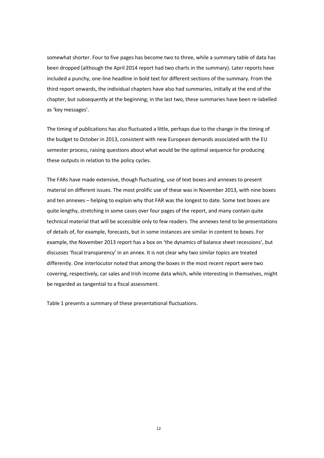somewhat shorter. Four to five pages has become two to three, while a summary table of data has been dropped (although the April 2014 report had two charts in the summary). Later reports have included a punchy, one-line headline in bold text for different sections of the summary. From the third report onwards, the individual chapters have also had summaries, initially at the end of the chapter, but subsequently at the beginning; in the last two, these summaries have been re-labelled as 'key messages'.

The timing of publications has also fluctuated a little, perhaps due to the change in the timing of the budget to October in 2013, consistent with new European demands associated with the EU semester process, raising questions about what would be the optimal sequence for producing these outputs in relation to the policy cycles.

The FARs have made extensive, though fluctuating, use of text boxes and annexes to present material on different issues. The most prolific use of these was in November 2013, with nine boxes and ten annexes – helping to explain why that FAR was the longest to date. Some text boxes are quite lengthy, stretching in some cases over four pages of the report, and many contain quite technical material that will be accessible only to few readers. The annexes tend to be presentations of details of, for example, forecasts, but in some instances are similar in content to boxes. For example, the November 2013 report has a box on 'the dynamics of balance sheet recessions', but discusses 'fiscal transparency' in an annex. It is not clear why two similar topics are treated differently. One interlocutor noted that among the boxes in the most recent report were two covering, respectively, car sales and Irish income data which, while interesting in themselves, might be regarded as tangential to a fiscal assessment.

Table 1 presents a summary of these presentational fluctuations.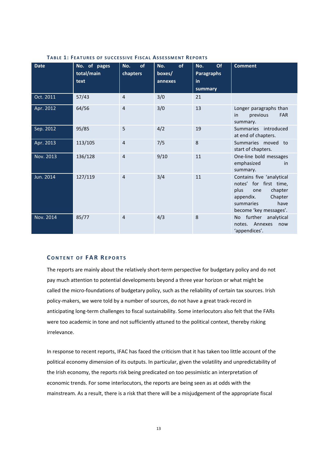| <b>Date</b> | No. of pages<br>total/main<br>text | of<br>No.<br>chapters | No.<br>of<br>boxes/<br>annexes | <b>Of</b><br>No.<br><b>Paragraphs</b><br>in<br>summary | <b>Comment</b>                                                                                                                                       |
|-------------|------------------------------------|-----------------------|--------------------------------|--------------------------------------------------------|------------------------------------------------------------------------------------------------------------------------------------------------------|
| Oct. 2011   | 57/43                              | 4                     | 3/0                            | 21                                                     |                                                                                                                                                      |
| Apr. 2012   | 64/56                              | $\overline{4}$        | 3/0                            | 13                                                     | Longer paragraphs than<br>previous<br><b>FAR</b><br>in<br>summary.                                                                                   |
| Sep. 2012   | 95/85                              | 5                     | 4/2                            | 19                                                     | Summaries introduced<br>at end of chapters.                                                                                                          |
| Apr. 2013   | 113/105                            | $\overline{4}$        | 7/5                            | 8                                                      | Summaries moved to<br>start of chapters.                                                                                                             |
| Nov. 2013   | 136/128                            | $\overline{4}$        | 9/10                           | 11                                                     | One-line bold messages<br>emphasized<br>in<br>summary.                                                                                               |
| Jun. 2014   | 127/119                            | $\overline{4}$        | 3/4                            | 11                                                     | Contains five 'analytical<br>notes' for first time,<br>chapter<br>plus<br>one<br>Chapter<br>appendix.<br>have<br>summaries<br>become 'key messages'. |
| Nov. 2014   | 85/77                              | $\overline{4}$        | 4/3                            | 8                                                      | further analytical<br>No.<br>notes. Annexes<br>now<br>'appendices'.                                                                                  |

#### **TABLE 1: FEATURES OF SUCCESSIVE FISCAL ASSESSMENT REPORTS**

#### **CONTENT OF FAR REPORTS**

The reports are mainly about the relatively short-term perspective for budgetary policy and do not pay much attention to potential developments beyond a three year horizon or what might be called the micro-foundations of budgetary policy, such as the reliability of certain tax sources. Irish policy-makers, we were told by a number of sources, do not have a great track-record in anticipating long-term challenges to fiscal sustainability. Some interlocutors also felt that the FARs were too academic in tone and not sufficiently attuned to the political context, thereby risking irrelevance.

In response to recent reports, IFAC has faced the criticism that it has taken too little account of the political economy dimension of its outputs. In particular, given the volatility and unpredictability of the Irish economy, the reports risk being predicated on too pessimistic an interpretation of economic trends. For some interlocutors, the reports are being seen as at odds with the mainstream. As a result, there is a risk that there will be a misjudgement of the appropriate fiscal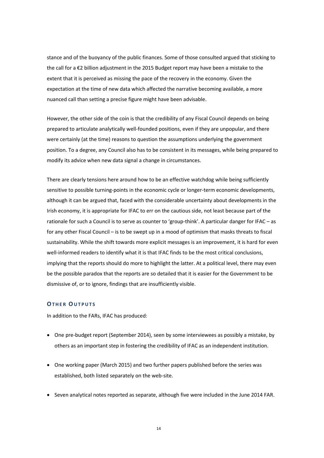stance and of the buoyancy of the public finances. Some of those consulted argued that sticking to the call for a €2 billion adjustment in the 2015 Budget report may have been a mistake to the extent that it is perceived as missing the pace of the recovery in the economy. Given the expectation at the time of new data which affected the narrative becoming available, a more nuanced call than setting a precise figure might have been advisable.

However, the other side of the coin is that the credibility of any Fiscal Council depends on being prepared to articulate analytically well-founded positions, even if they are unpopular, and there were certainly (at the time) reasons to question the assumptions underlying the government position. To a degree, any Council also has to be consistent in its messages, while being prepared to modify its advice when new data signal a change in circumstances.

There are clearly tensions here around how to be an effective watchdog while being sufficiently sensitive to possible turning-points in the economic cycle or longer-term economic developments, although it can be argued that, faced with the considerable uncertainty about developments in the Irish economy, it is appropriate for IFAC to err on the cautious side, not least because part of the rationale for such a Council is to serve as counter to 'group-think'. A particular danger for IFAC – as for any other Fiscal Council – is to be swept up in a mood of optimism that masks threats to fiscal sustainability. While the shift towards more explicit messages is an improvement, it is hard for even well-informed readers to identify what it is that IFAC finds to be the most critical conclusions, implying that the reports should do more to highlight the latter. At a political level, there may even be the possible paradox that the reports are so detailed that it is easier for the Government to be dismissive of, or to ignore, findings that are insufficiently visible.

#### **OTHER OUTPUTS**

In addition to the FARs, IFAC has produced:

- One pre-budget report (September 2014), seen by some interviewees as possibly a mistake, by others as an important step in fostering the credibility of IFAC as an independent institution.
- One working paper (March 2015) and two further papers published before the series was established, both listed separately on the web-site.
- Seven analytical notes reported as separate, although five were included in the June 2014 FAR.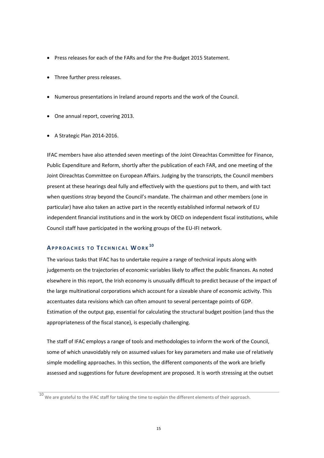- Press releases for each of the FARs and for the Pre-Budget 2015 Statement.
- Three further press releases.
- Numerous presentations in Ireland around reports and the work of the Council.
- One annual report, covering 2013.
- A Strategic Plan 2014-2016.

IFAC members have also attended seven meetings of the Joint Oireachtas Committee for Finance, Public Expenditure and Reform, shortly after the publication of each FAR, and one meeting of the Joint Oireachtas Committee on European Affairs. Judging by the transcripts, the Council members present at these hearings deal fully and effectively with the questions put to them, and with tact when questions stray beyond the Council's mandate. The chairman and other members (one in particular) have also taken an active part in the recently established informal network of EU independent financial institutions and in the work by OECD on independent fiscal institutions, while Council staff have participated in the working groups of the EU-IFI network.

## **APPROACHES TO T ECHNICAL WORK [10](#page-18-0)**

The various tasks that IFAC has to undertake require a range of technical inputs along with judgements on the trajectories of economic variables likely to affect the public finances. As noted elsewhere in this report, the Irish economy is unusually difficult to predict because of the impact of the large multinational corporations which account for a sizeable share of economic activity. This accentuates data revisions which can often amount to several percentage points of GDP. Estimation of the output gap, essential for calculating the structural budget position (and thus the appropriateness of the fiscal stance), is especially challenging.

The staff of IFAC employs a range of tools and methodologies to inform the work of the Council, some of which unavoidably rely on assumed values for key parameters and make use of relatively simple modelling approaches. In this section, the different components of the work are briefly assessed and suggestions for future development are proposed. It is worth stressing at the outset

<span id="page-18-0"></span><sup>10</sup> We are grateful to the IFAC staff for taking the time to explain the different elements of their approach.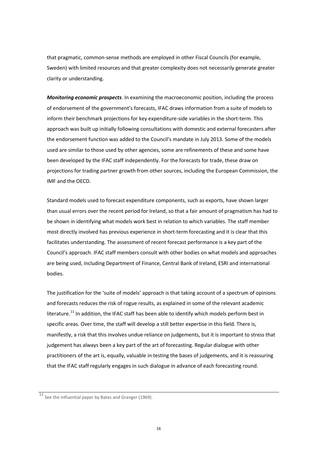that pragmatic, common-sense methods are employed in other Fiscal Councils (for example, Sweden) with limited resources and that greater complexity does not necessarily generate greater clarity or understanding.

*Monitoring economic prospects*. In examining the macroeconomic position, including the process of endorsement of the government's forecasts, IFAC draws information from a suite of models to inform their benchmark projections for key expenditure-side variables in the short-term. This approach was built up initially following consultations with domestic and external forecasters after the endorsement function was added to the Council's mandate in July 2013. Some of the models used are similar to those used by other agencies, some are refinements of these and some have been developed by the IFAC staff independently. For the forecasts for trade, these draw on projections for trading partner growth from other sources, including the European Commission, the IMF and the OECD.

Standard models used to forecast expenditure components, such as exports, have shown larger than usual errors over the recent period for Ireland, so that a fair amount of pragmatism has had to be shown in identifying what models work best in relation to which variables. The staff member most directly involved has previous experience in short-term forecasting and it is clear that this facilitates understanding. The assessment of recent forecast performance is a key part of the Council's approach. IFAC staff members consult with other bodies on what models and approaches are being used, including Department of Finance, Central Bank of Ireland, ESRI and international bodies.

The justification for the 'suite of models' approach is that taking account of a spectrum of opinions and forecasts reduces the risk of rogue results, as explained in some of the relevant academic literature.<sup>[11](#page-19-0)</sup> In addition, the IFAC staff has been able to identify which models perform best in specific areas. Over time, the staff will develop a still better expertise in this field. There is, manifestly, a risk that this involves undue reliance on judgements, but it is important to stress that judgement has always been a key part of the art of forecasting. Regular dialogue with other practitioners of the art is, equally, valuable in testing the bases of judgements, and it is reassuring that the IFAC staff regularly engages in such dialogue in advance of each forecasting round.

<span id="page-19-0"></span> $\overline{11}$  See the influential paper by Bates and Granger (1969).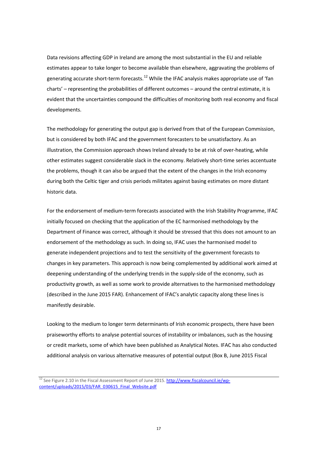Data revisions affecting GDP in Ireland are among the most substantial in the EU and reliable estimates appear to take longer to become available than elsewhere, aggravating the problems of generating accurate short-term forecasts.<sup>[12](#page-20-0)</sup> While the IFAC analysis makes appropriate use of 'fan charts' – representing the probabilities of different outcomes – around the central estimate, it is evident that the uncertainties compound the difficulties of monitoring both real economy and fiscal developments.

The methodology for generating the output gap is derived from that of the European Commission, but is considered by both IFAC and the government forecasters to be unsatisfactory. As an illustration, the Commission approach shows Ireland already to be at risk of over-heating, while other estimates suggest considerable slack in the economy. Relatively short-time series accentuate the problems, though it can also be argued that the extent of the changes in the Irish economy during both the Celtic tiger and crisis periods militates against basing estimates on more distant historic data.

For the endorsement of medium-term forecasts associated with the Irish Stability Programme, IFAC initially focused on checking that the application of the EC harmonised methodology by the Department of Finance was correct, although it should be stressed that this does not amount to an endorsement of the methodology as such. In doing so, IFAC uses the harmonised model to generate independent projections and to test the sensitivity of the government forecasts to changes in key parameters. This approach is now being complemented by additional work aimed at deepening understanding of the underlying trends in the supply-side of the economy, such as productivity growth, as well as some work to provide alternatives to the harmonised methodology (described in the June 2015 FAR). Enhancement of IFAC's analytic capacity along these lines is manifestly desirable.

Looking to the medium to longer term determinants of Irish economic prospects, there have been praiseworthy efforts to analyse potential sources of instability or imbalances, such as the housing or credit markets, some of which have been published as Analytical Notes. IFAC has also conducted additional analysis on various alternative measures of potential output (Box B, June 2015 Fiscal

<span id="page-20-0"></span> $12$  See Figure 2.10 in the Fiscal Assessment Report of June 2015[. http://www.fiscalcouncil.ie/wp](http://www.fiscalcouncil.ie/wp-content/uploads/2015/03/FAR_030615_Final_Website.pdf)[content/uploads/2015/03/FAR\\_030615\\_Final\\_Website.pdf](http://www.fiscalcouncil.ie/wp-content/uploads/2015/03/FAR_030615_Final_Website.pdf)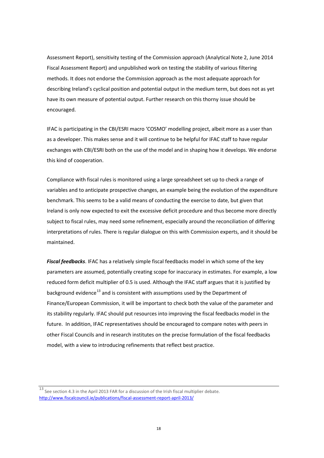Assessment Report), sensitivity testing of the Commission approach (Analytical Note 2, June 2014 Fiscal Assessment Report) and unpublished work on testing the stability of various filtering methods. It does not endorse the Commission approach as the most adequate approach for describing Ireland's cyclical position and potential output in the medium term, but does not as yet have its own measure of potential output. Further research on this thorny issue should be encouraged.

IFAC is participating in the CBI/ESRI macro 'COSMO' modelling project, albeit more as a user than as a developer. This makes sense and it will continue to be helpful for IFAC staff to have regular exchanges with CBI/ESRI both on the use of the model and in shaping how it develops. We endorse this kind of cooperation.

Compliance with fiscal rules is monitored using a large spreadsheet set up to check a range of variables and to anticipate prospective changes, an example being the evolution of the expenditure benchmark. This seems to be a valid means of conducting the exercise to date, but given that Ireland is only now expected to exit the excessive deficit procedure and thus become more directly subject to fiscal rules, may need some refinement, especially around the reconciliation of differing interpretations of rules. There is regular dialogue on this with Commission experts, and it should be maintained.

*Fiscal feedbacks*. IFAC has a relatively simple fiscal feedbacks model in which some of the key parameters are assumed, potentially creating scope for inaccuracy in estimates. For example, a low reduced form deficit multiplier of 0.5 is used. Although the IFAC staff argues that it is justified by background evidence<sup>[13](#page-21-0)</sup> and is consistent with assumptions used by the Department of Finance/European Commission, it will be important to check both the value of the parameter and its stability regularly. IFAC should put resources into improving the fiscal feedbacks model in the future. In addition, IFAC representatives should be encouraged to compare notes with peers in other Fiscal Councils and in research institutes on the precise formulation of the fiscal feedbacks model, with a view to introducing refinements that reflect best practice.

<span id="page-21-0"></span><sup>13</sup> See section 4.3 in the April 2013 FAR for a discussion of the Irish fiscal multiplier debate. <http://www.fiscalcouncil.ie/publications/fiscal-assessment-report-april-2013/>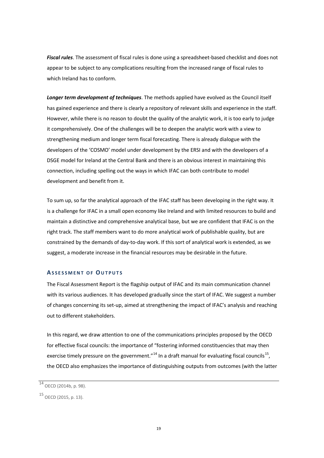*Fiscal rules*. The assessment of fiscal rules is done using a spreadsheet-based checklist and does not appear to be subject to any complications resulting from the increased range of fiscal rules to which Ireland has to conform.

*Longer term development of techniques*. The methods applied have evolved as the Council itself has gained experience and there is clearly a repository of relevant skills and experience in the staff. However, while there is no reason to doubt the quality of the analytic work, it is too early to judge it comprehensively. One of the challenges will be to deepen the analytic work with a view to strengthening medium and longer term fiscal forecasting. There is already dialogue with the developers of the 'COSMO' model under development by the ERSI and with the developers of a DSGE model for Ireland at the Central Bank and there is an obvious interest in maintaining this connection, including spelling out the ways in which IFAC can both contribute to model development and benefit from it.

To sum up, so far the analytical approach of the IFAC staff has been developing in the right way. It is a challenge for IFAC in a small open economy like Ireland and with limited resources to build and maintain a distinctive and comprehensive analytical base, but we are confident that IFAC is on the right track. The staff members want to do more analytical work of publishable quality, but are constrained by the demands of day-to-day work. If this sort of analytical work is extended, as we suggest, a moderate increase in the financial resources may be desirable in the future.

#### **ASSESSMENT OF OUTPUTS**

The Fiscal Assessment Report is the flagship output of IFAC and its main communication channel with its various audiences. It has developed gradually since the start of IFAC. We suggest a number of changes concerning its set-up, aimed at strengthening the impact of IFAC's analysis and reaching out to different stakeholders.

In this regard, we draw attention to one of the communications principles proposed by the OECD for effective fiscal councils: the importance of "fostering informed constituencies that may then exercise timely pressure on the government."<sup>[14](#page-22-0)</sup> In a draft manual for evaluating fiscal councils<sup>15</sup>, the OECD also emphasizes the importance of distinguishing outputs from outcomes (with the latter

<span id="page-22-0"></span> $14$  OECD (2014b, p. 98).

<span id="page-22-1"></span><sup>15</sup> OECD (2015, p. 13).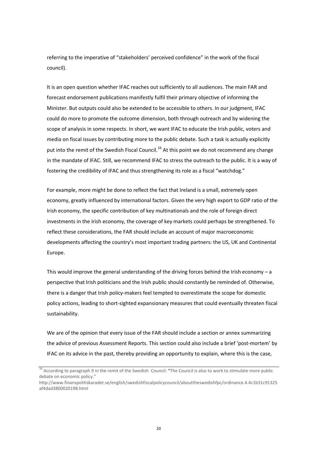referring to the imperative of "stakeholders' perceived confidence" in the work of the fiscal council).

It is an open question whether IFAC reaches out sufficiently to all audiences. The main FAR and forecast endorsement publications manifestly fulfil their primary objective of informing the Minister. But outputs could also be extended to be accessible to others. In our judgment, IFAC could do more to promote the outcome dimension, both through outreach and by widening the scope of analysis in some respects. In short, we want IFAC to educate the Irish public, voters and media on fiscal issues by contributing more to the public debate. Such a task is actually explicitly put into the remit of the Swedish Fiscal Council.<sup>[16](#page-23-0)</sup> At this point we do not recommend any change in the mandate of IFAC. Still, we recommend IFAC to stress the outreach to the public. It is a way of fostering the credibility of IFAC and thus strengthening its role as a fiscal "watchdog."

For example, more might be done to reflect the fact that Ireland is a small, extremely open economy, greatly influenced by international factors. Given the very high export to GDP ratio of the Irish economy, the specific contribution of key multinationals and the role of foreign direct investments in the Irish economy, the coverage of key markets could perhaps be strengthened. To reflect these considerations, the FAR should include an account of major macroeconomic developments affecting the country's most important trading partners: the US, UK and Continental Europe.

This would improve the general understanding of the driving forces behind the Irish economy  $- a$ perspective that Irish politicians and the Irish public should constantly be reminded of. Otherwise, there is a danger that Irish policy-makers feel tempted to overestimate the scope for domestic policy actions, leading to short-sighted expansionary measures that could eventually threaten fiscal sustainability.

We are of the opinion that every issue of the FAR should include a section or annex summarizing the advice of previous Assessment Reports. This section could also include a brief 'post-mortem' by IFAC on its advice in the past, thereby providing an opportunity to explain, where this is the case,

<span id="page-23-0"></span><sup>16</sup> According to paragraph 9 in the remit of the Swedish Council: **"**The Council is also to work to stimulate more public debate on economic policy."

[http://www.finanspolitiskaradet.se/english/swedishfiscalpolicycouncil/abouttheswedishfpc/ordinance.4.4c1b31c91325](http://www.finanspolitiskaradet.se/english/swedishfiscalpolicycouncil/abouttheswedishfpc/ordinance.4.4c1b31c91325af4dad3800020198.html) [af4dad3800020198.html](http://www.finanspolitiskaradet.se/english/swedishfiscalpolicycouncil/abouttheswedishfpc/ordinance.4.4c1b31c91325af4dad3800020198.html)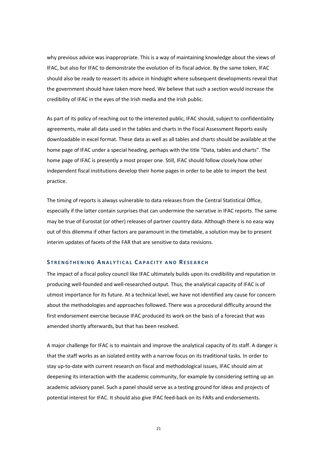why previous advice was inappropriate. This is a way of maintaining knowledge about the views of IFAC, but also for IFAC to demonstrate the evolution of its fiscal advice. By the same token, IFAC should also be ready to reassert its advice in hindsight where subsequent developments reveal that the government should have taken more heed. We believe that such a section would increase the credibility of IFAC in the eyes of the Irish media and the Irish public.

As part of its policy of reaching out to the interested public, IFAC should, subject to confidentiality agreements, make all data used in the tables and charts in the Fiscal Assessment Reports easily downloadable in excel format. These data as well as all tables and charts should be available at the home page of IFAC under a special heading, perhaps with the title "Data, tables and charts". The home page of IFAC is presently a most proper one. Still, IFAC should follow closely how other independent fiscal institutions develop their home pages in order to be able to import the best practice.

The timing of reports is always vulnerable to data releases from the Central Statistical Office, especially if the latter contain surprises that can undermine the narrative in IFAC reports. The same may be true of Eurostat (or other) releases of partner country data. Although there is no easy way out of this dilemma if other factors are paramount in the timetable, a solution may be to present interim updates of facets of the FAR that are sensitive to data revisions.

#### **S TRENGTHENING A NALYTICAL C APACITY AND RESEARCH**

The impact of a fiscal policy council like IFAC ultimately builds upon its credibility and reputation in producing well-founded and well-researched output. Thus, the analytical capacity of IFAC is of utmost importance for its future. At a technical level, we have not identified any cause for concern about the methodologies and approaches followed. There was a procedural difficulty around the first endorsement exercise because IFAC produced its work on the basis of a forecast that was amended shortly afterwards, but that has been resolved.

A major challenge for IFAC is to maintain and improve the analytical capacity of its staff. A danger is that the staff works as an isolated entity with a narrow focus on its traditional tasks. In order to stay up-to-date with current research on fiscal and methodological issues, IFAC should aim at deepening its interaction with the academic community, for example by considering setting up an academic advisory panel. Such a panel should serve as a testing ground for ideas and projects of potential interest for IFAC. It should also give IFAC feed-back on its FARs and endorsements.

21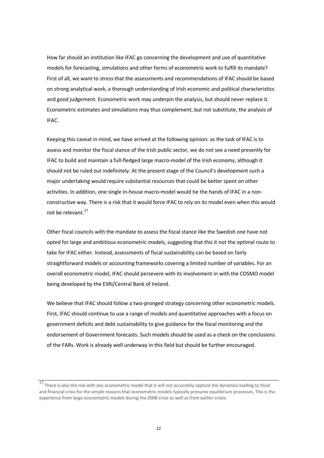How far should an institution like IFAC go concerning the development and use of quantitative models for forecasting, simulations and other forms of econometric work to fulfill its mandate? First of all, we want to stress that the assessments and recommendations of IFAC should be based on strong analytical work, a thorough understanding of Irish economic and political characteristics and good judgement. Econometric work may underpin the analysis, but should never replace it. Econometric estimates and simulations may thus complement, but not substitute, the analysis of IFAC.

Keeping this caveat in mind, we have arrived at the following opinion: as the task of IFAC is to assess and monitor the fiscal stance of the Irish public sector, we do not see a need presently for IFAC to build and maintain a full-fledged large macro-model of the Irish economy, although it should not be ruled out indefinitely. At the present stage of the Council's development such a major undertaking would require substantial resources that could be better spent on other activities. In addition, one single in-house macro-model would tie the hands of IFAC in a nonconstructive way. There is a risk that it would force IFAC to rely on its model even when this would not be relevant.[17](#page-25-0)

Other fiscal councils with the mandate to assess the fiscal stance like the Swedish one have not opted for large and ambitious econometric models, suggesting that this it not the optimal route to take for IFAC either. Instead, assessments of fiscal sustainability can be based on fairly straightforward models or accounting frameworks covering a limited number of variables. For an overall econometric model, IFAC should persevere with its involvement in with the COSMO model being developed by the ESRI/Central Bank of Ireland.

We believe that IFAC should follow a two-pronged strategy concerning other econometric models. First, IFAC should continue to use a range of models and quantitative approaches with a focus on government deficits and debt sustainability to give guidance for the fiscal monitoring and the endorsement of Government forecasts. Such models should be used as a check on the conclusions of the FARs. Work is already well underway in this field but should be further encouraged.

<span id="page-25-0"></span> $\frac{17}{17}$  There is also the risk with any econometric model that it will not accurately capture the dynamics leading to fiscal and financial crisis for the simple reasons that econometric models typically presume equilibrium processes. This is the experience from large econometric models during the 2008 crisis as well as from earlier crises.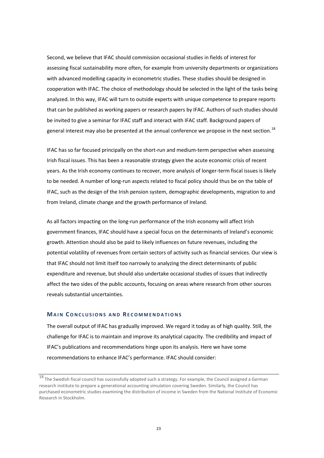Second, we believe that IFAC should commission occasional studies in fields of interest for assessing fiscal sustainability more often, for example from university departments or organizations with advanced modelling capacity in econometric studies. These studies should be designed in cooperation with IFAC. The choice of methodology should be selected in the light of the tasks being analyzed. In this way, IFAC will turn to outside experts with unique competence to prepare reports that can be published as working papers or research papers by IFAC. Authors of such studies should be invited to give a seminar for IFAC staff and interact with IFAC staff. Background papers of general interest may also be presented at the annual conference we propose in the next section.<sup>[18](#page-26-0)</sup>

IFAC has so far focused principally on the short-run and medium-term perspective when assessing Irish fiscal issues. This has been a reasonable strategy given the acute economic crisis of recent years. As the Irish economy continues to recover, more analysis of longer-term fiscal issues is likely to be needed. A number of long-run aspects related to fiscal policy should thus be on the table of IFAC, such as the design of the Irish pension system, demographic developments, migration to and from Ireland, climate change and the growth performance of Ireland.

As all factors impacting on the long-run performance of the Irish economy will affect Irish government finances, IFAC should have a special focus on the determinants of Ireland's economic growth. Attention should also be paid to likely influences on future revenues, including the potential volatility of revenues from certain sectors of activity such as financial services. Our view is that IFAC should not limit itself too narrowly to analyzing the direct determinants of public expenditure and revenue, but should also undertake occasional studies of issues that indirectly affect the two sides of the public accounts, focusing on areas where research from other sources reveals substantial uncertainties.

#### **MAIN CONCLUSIONS AND RECOMMENDATIONS**

The overall output of IFAC has gradually improved. We regard it today as of high quality. Still, the challenge for IFAC is to maintain and improve its analytical capacity. The credibility and impact of IFAC's publications and recommendations hinge upon its analysis. Here we have some recommendations to enhance IFAC's performance. IFAC should consider:

<span id="page-26-0"></span> $^{18}$  The Swedish fiscal council has successfully adopted such a strategy. For example, the Council assigned a German research institute to prepare a generational accounting simulation covering Sweden. Similarly, the Council has purchased econometric studies examining the distribution of income in Sweden from the National Institute of Economic Research in Stockholm.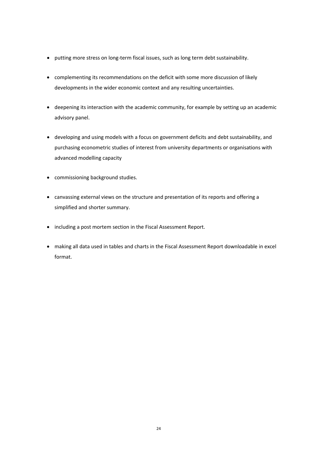- putting more stress on long-term fiscal issues, such as long term debt sustainability.
- complementing its recommendations on the deficit with some more discussion of likely developments in the wider economic context and any resulting uncertainties.
- deepening its interaction with the academic community, for example by setting up an academic advisory panel.
- developing and using models with a focus on government deficits and debt sustainability, and purchasing econometric studies of interest from university departments or organisations with advanced modelling capacity
- commissioning background studies.
- canvassing external views on the structure and presentation of its reports and offering a simplified and shorter summary.
- including a post mortem section in the Fiscal Assessment Report.
- making all data used in tables and charts in the Fiscal Assessment Report downloadable in excel format.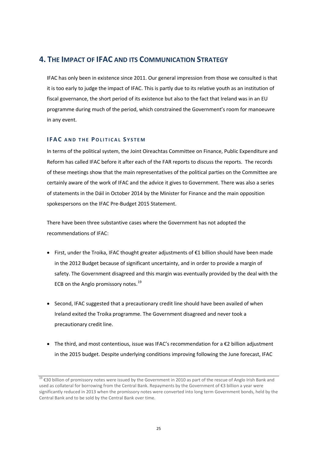## <span id="page-28-0"></span>**4. THE IMPACT OF IFAC AND ITS COMMUNICATION STRATEGY**

IFAC has only been in existence since 2011. Our general impression from those we consulted is that it is too early to judge the impact of IFAC. This is partly due to its relative youth as an institution of fiscal governance, the short period of its existence but also to the fact that Ireland was in an EU programme during much of the period, which constrained the Government's room for manoeuvre in any event.

#### **IFAC AND THE POLITICAL S YSTEM**

In terms of the political system, the Joint Oireachtas Committee on Finance, Public Expenditure and Reform has called IFAC before it after each of the FAR reports to discuss the reports. The records of these meetings show that the main representatives of the political parties on the Committee are certainly aware of the work of IFAC and the advice it gives to Government. There was also a series of statements in the Dáil in October 2014 by the Minister for Finance and the main opposition spokespersons on the IFAC Pre-Budget 2015 Statement.

There have been three substantive cases where the Government has not adopted the recommendations of IFAC:

- First, under the Troika, IFAC thought greater adjustments of €1 billion should have been made in the 2012 Budget because of significant uncertainty, and in order to provide a margin of safety. The Government disagreed and this margin was eventually provided by the deal with the ECB on the Anglo promissory notes. $19$
- Second, IFAC suggested that a precautionary credit line should have been availed of when Ireland exited the Troika programme. The Government disagreed and never took a precautionary credit line.
- The third, and most contentious, issue was IFAC's recommendation for a €2 billion adjustment in the 2015 budget. Despite underlying conditions improving following the June forecast, IFAC

<span id="page-28-1"></span><sup>&</sup>lt;sup>19</sup> €30 billion of promissory notes were issued by the Government in 2010 as part of the rescue of Anglo Irish Bank and used as collateral for borrowing from the Central Bank. Repayments by the Government of €3 billion a year were significantly reduced in 2013 when the promissory notes were converted into long term Government bonds, held by the Central Bank and to be sold by the Central Bank over time.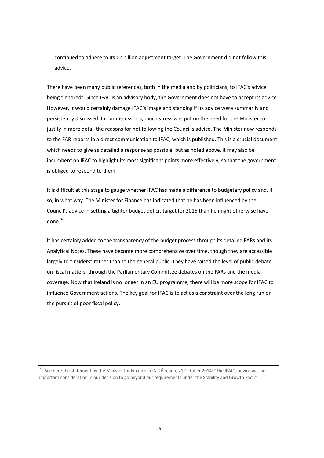continued to adhere to its €2 billion adjustment target. The Government did not follow this advice.

There have been many public references, both in the media and by politicians, to IFAC's advice being "ignored". Since IFAC is an advisory body, the Government does not have to accept its advice. However, it would certainly damage IFAC's image and standing if its advice were summarily and persistently dismissed. In our discussions, much stress was put on the need for the Minister to justify in more detail the reasons for not following the Council's advice. The Minister now responds to the FAR reports in a direct communication to IFAC, which is published. This is a crucial document which needs to give as detailed a response as possible, but as noted above, it may also be incumbent on IFAC to highlight its most significant points more effectively, so that the government is obliged to respond to them.

It is difficult at this stage to gauge whether IFAC has made a difference to budgetary policy and, if so, in what way. The Minister for Finance has indicated that he has been influenced by the Council's advice in setting a tighter budget deficit target for 2015 than he might otherwise have done. $20$ 

It has certainly added to the transparency of the budget process through its detailed FARs and its Analytical Notes. These have become more comprehensive over time, though they are accessible largely to "insiders" rather than to the general public. They have raised the level of public debate on fiscal matters, through the Parliamentary Committee debates on the FARs and the media coverage. Now that Ireland is no longer in an EU programme, there will be more scope for IFAC to influence Government actions. The key goal for IFAC is to act as a constraint over the long run on the pursuit of poor fiscal policy.

<span id="page-29-0"></span>20 See here the statement by the Minister for Finance in Dail Éireann, 21 October 2014: "The IFAC's advice was an important consideration in our decision to go beyond our requirements under the Stability and Growth Pact."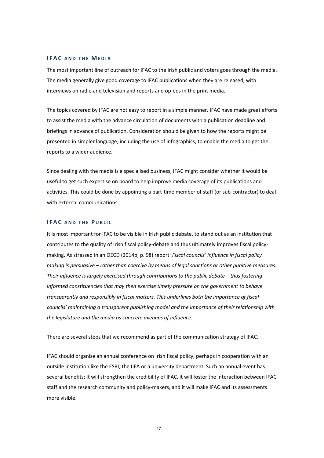#### **IFAC AND THE MEDIA**

The most important line of outreach for IFAC to the Irish public and voters goes through the media. The media generally give good coverage to IFAC publications when they are released, with interviews on radio and television and reports and op-eds in the print media.

The topics covered by IFAC are not easy to report in a simple manner. IFAC have made great efforts to assist the media with the advance circulation of documents with a publication deadline and briefings in advance of publication. Consideration should be given to how the reports might be presented in simpler language, including the use of infographics, to enable the media to get the reports to a wider audience.

Since dealing with the media is a specialised business, IFAC might consider whether it would be useful to get such expertise on board to help improve media coverage of its publications and activities. This could be done by appointing a part-time member of staff (or sub-contractor) to deal with external communications.

#### **IFAC AND THE PUBLIC**

It is most important for IFAC to be visible in Irish public debate, to stand out as an institution that contributes to the quality of Irish fiscal policy-debate and thus ultimately improves fiscal policymaking. As stressed in an OECD (2014b, p. 98) report: *Fiscal councils' influence in fiscal policy making is persuasive – rather than coercive by means of legal sanctions or other punitive measures. Their influence is largely exercised through contributions to the public debate – thus fostering informed constituencies that may then exercise timely pressure on the government to behave transparently and responsibly in fiscal matters. This underlines both the importance of fiscal councils' maintaining a transparent publishing model and the importance of their relationship with the legislature and the media as concrete avenues of influence.* 

There are several steps that we recommend as part of the communication strategy of IFAC.

IFAC should organise an annual conference on Irish fiscal policy, perhaps in cooperation with an outside institution like the ESRI, the IIEA or a university department. Such an annual event has several benefits: It will strengthen the credibility of IFAC, it will foster the interaction between IFAC staff and the research community and policy-makers, and it will make IFAC and its assessments more visible.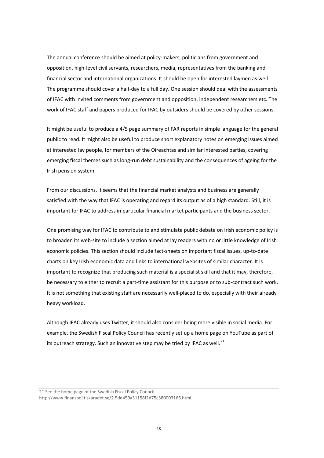The annual conference should be aimed at policy-makers, politicians from government and opposition, high-level civil servants, researchers, media, representatives from the banking and financial sector and international organizations. It should be open for interested laymen as well. The programme should cover a half-day to a full day. One session should deal with the assessments of IFAC with invited comments from government and opposition, independent researchers etc. The work of IFAC staff and papers produced for IFAC by outsiders should be covered by other sessions.

It might be useful to produce a 4/5 page summary of FAR reports in simple language for the general public to read. It might also be useful to produce short explanatory notes on emerging issues aimed at interested lay people, for members of the Oireachtas and similar interested parties, covering emerging fiscal themes such as long-run debt sustainability and the consequences of ageing for the Irish pension system.

From our discussions, it seems that the financial market analysts and business are generally satisfied with the way that IFAC is operating and regard its output as of a high standard. Still, it is important for IFAC to address in particular financial market participants and the business sector.

One promising way for IFAC to contribute to and stimulate public debate on Irish economic policy is to broaden its web-site to include a section aimed at lay readers with no or little knowledge of Irish economic policies. This section should include fact-sheets on important fiscal issues, up-to-date charts on key Irish economic data and links to international websites of similar character. It is important to recognize that producing such material is a specialist skill and that it may, therefore, be necessary to either to recruit a part-time assistant for this purpose or to sub-contract such work. It is not something that existing staff are necessarily well-placed to do, especially with their already heavy workload.

Although IFAC already uses Twitter, it should also consider being more visible in social media. For example, the Swedish Fiscal Policy Council has recently set up a home page on YouTube as part of its outreach strategy. Such an innovative step may be tried by IFAC as well. $^{21}$  $^{21}$  $^{21}$ 

<span id="page-31-0"></span><sup>21</sup> See the home page of the Swedish Fiscal Policy Council.

http://www.finanspolitiskaradet.se/2.5dd459a31158f2d75c380003166.html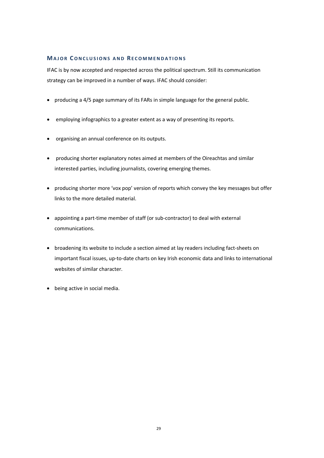#### **MAJOR CONCLUSIONS AND RECOMMENDATIONS**

IFAC is by now accepted and respected across the political spectrum. Still its communication strategy can be improved in a number of ways. IFAC should consider:

- producing a 4/5 page summary of its FARs in simple language for the general public.
- employing infographics to a greater extent as a way of presenting its reports.
- organising an annual conference on its outputs.
- producing shorter explanatory notes aimed at members of the Oireachtas and similar interested parties, including journalists, covering emerging themes.
- producing shorter more 'vox pop' version of reports which convey the key messages but offer links to the more detailed material.
- appointing a part-time member of staff (or sub-contractor) to deal with external communications.
- broadening its website to include a section aimed at lay readers including fact-sheets on important fiscal issues, up-to-date charts on key Irish economic data and links to international websites of similar character.
- being active in social media.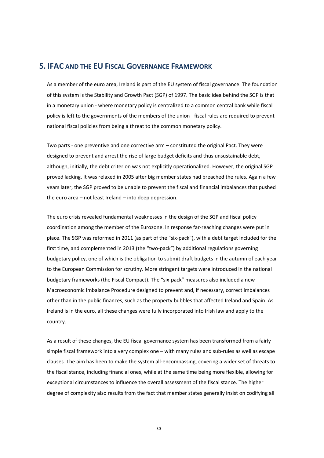### <span id="page-33-0"></span>**5. IFAC AND THE EU FISCAL GOVERNANCE FRAMEWORK**

As a member of the euro area, Ireland is part of the EU system of fiscal governance. The foundation of this system is the Stability and Growth Pact (SGP) of 1997. The basic idea behind the SGP is that in a monetary union - where monetary policy is centralized to a common central bank while fiscal policy is left to the governments of the members of the union - fiscal rules are required to prevent national fiscal policies from being a threat to the common monetary policy.

Two parts - one preventive and one corrective arm – constituted the original Pact. They were designed to prevent and arrest the rise of large budget deficits and thus unsustainable debt, although, initially, the debt criterion was not explicitly operationalized. However, the original SGP proved lacking. It was relaxed in 2005 after big member states had breached the rules. Again a few years later, the SGP proved to be unable to prevent the fiscal and financial imbalances that pushed the euro area – not least Ireland – into deep depression.

The euro crisis revealed fundamental weaknesses in the design of the SGP and fiscal policy coordination among the member of the Eurozone. In response far-reaching changes were put in place. The SGP was reformed in 2011 (as part of the "six-pack"), with a debt target included for the first time, and complemented in 2013 (the "two-pack") by additional regulations governing budgetary policy, one of which is the obligation to submit draft budgets in the autumn of each year to the European Commission for scrutiny. More stringent targets were introduced in the national budgetary frameworks (the Fiscal Compact). The "six-pack" measures also included a new Macroeconomic Imbalance Procedure designed to prevent and, if necessary, correct imbalances other than in the public finances, such as the property bubbles that affected Ireland and Spain. As Ireland is in the euro, all these changes were fully incorporated into Irish law and apply to the country.

As a result of these changes, the EU fiscal governance system has been transformed from a fairly simple fiscal framework into a very complex one – with many rules and sub-rules as well as escape clauses. The aim has been to make the system all-encompassing, covering a wider set of threats to the fiscal stance, including financial ones, while at the same time being more flexible, allowing for exceptional circumstances to influence the overall assessment of the fiscal stance. The higher degree of complexity also results from the fact that member states generally insist on codifying all

30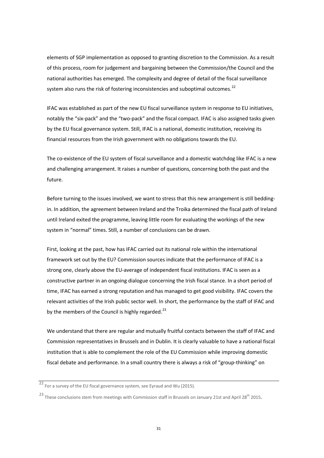elements of SGP implementation as opposed to granting discretion to the Commission. As a result of this process, room for judgement and bargaining between the Commission/the Council and the national authorities has emerged. The complexity and degree of detail of the fiscal surveillance system also runs the risk of fostering inconsistencies and suboptimal outcomes.<sup>[22](#page-34-0)</sup>

IFAC was established as part of the new EU fiscal surveillance system in response to EU initiatives, notably the "six-pack" and the "two-pack" and the fiscal compact. IFAC is also assigned tasks given by the EU fiscal governance system. Still, IFAC is a national, domestic institution, receiving its financial resources from the Irish government with no obligations towards the EU.

The co-existence of the EU system of fiscal surveillance and a domestic watchdog like IFAC is a new and challenging arrangement. It raises a number of questions, concerning both the past and the future.

Before turning to the issues involved, we want to stress that this new arrangement is still beddingin. In addition, the agreement between Ireland and the Troika determined the fiscal path of Ireland until Ireland exited the programme, leaving little room for evaluating the workings of the new system in "normal" times. Still, a number of conclusions can be drawn.

First, looking at the past, how has IFAC carried out its national role within the international framework set out by the EU? Commission sources indicate that the performance of IFAC is a strong one, clearly above the EU-average of independent fiscal institutions. IFAC is seen as a constructive partner in an ongoing dialogue concerning the Irish fiscal stance. In a short period of time, IFAC has earned a strong reputation and has managed to get good visibility. IFAC covers the relevant activities of the Irish public sector well. In short, the performance by the staff of IFAC and by the members of the Council is highly regarded.<sup>[23](#page-34-1)</sup>

We understand that there are regular and mutually fruitful contacts between the staff of IFAC and Commission representatives in Brussels and in Dublin. It is clearly valuable to have a national fiscal institution that is able to complement the role of the EU Commission while improving domestic fiscal debate and performance. In a small country there is always a risk of "group-thinking" on

<span id="page-34-0"></span> $22$  For a survey of the EU fiscal governance system, see Eyraud and Wu (2015).

<span id="page-34-1"></span><sup>&</sup>lt;sup>23</sup> These conclusions stem from meetings with Commission staff in Brussels on January 21st and April 28<sup>th</sup> 2015.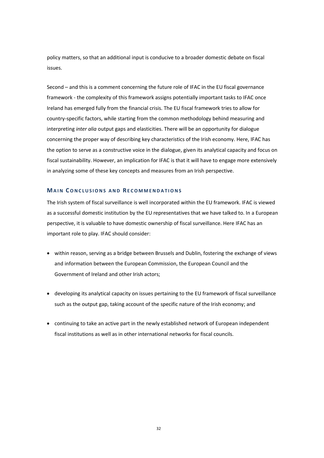policy matters, so that an additional input is conducive to a broader domestic debate on fiscal issues.

Second – and this is a comment concerning the future role of IFAC in the EU fiscal governance framework - the complexity of this framework assigns potentially important tasks to IFAC once Ireland has emerged fully from the financial crisis. The EU fiscal framework tries to allow for country-specific factors, while starting from the common methodology behind measuring and interpreting *inter alia* output gaps and elasticities. There will be an opportunity for dialogue concerning the proper way of describing key characteristics of the Irish economy. Here, IFAC has the option to serve as a constructive voice in the dialogue, given its analytical capacity and focus on fiscal sustainability. However, an implication for IFAC is that it will have to engage more extensively in analyzing some of these key concepts and measures from an Irish perspective.

#### **MAIN CONCLUSIONS AND RECOMMENDATIONS**

The Irish system of fiscal surveillance is well incorporated within the EU framework. IFAC is viewed as a successful domestic institution by the EU representatives that we have talked to. In a European perspective, it is valuable to have domestic ownership of fiscal surveillance. Here IFAC has an important role to play. IFAC should consider:

- within reason, serving as a bridge between Brussels and Dublin, fostering the exchange of views and information between the European Commission, the European Council and the Government of Ireland and other Irish actors;
- developing its analytical capacity on issues pertaining to the EU framework of fiscal surveillance such as the output gap, taking account of the specific nature of the Irish economy; and
- continuing to take an active part in the newly established network of European independent fiscal institutions as well as in other international networks for fiscal councils.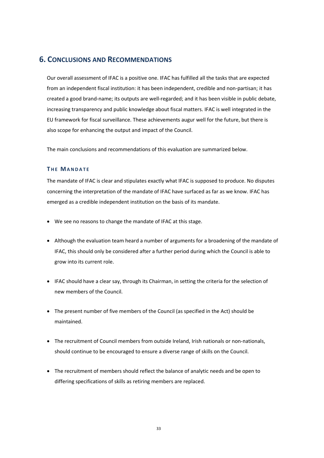## <span id="page-36-0"></span>**6. CONCLUSIONS AND RECOMMENDATIONS**

Our overall assessment of IFAC is a positive one. IFAC has fulfilled all the tasks that are expected from an independent fiscal institution: it has been independent, credible and non-partisan; it has created a good brand-name; its outputs are well-regarded; and it has been visible in public debate, increasing transparency and public knowledge about fiscal matters. IFAC is well integrated in the EU framework for fiscal surveillance. These achievements augur well for the future, but there is also scope for enhancing the output and impact of the Council.

The main conclusions and recommendations of this evaluation are summarized below.

#### **T HE MANDATE**

The mandate of IFAC is clear and stipulates exactly what IFAC is supposed to produce. No disputes concerning the interpretation of the mandate of IFAC have surfaced as far as we know. IFAC has emerged as a credible independent institution on the basis of its mandate.

- We see no reasons to change the mandate of IFAC at this stage.
- Although the evaluation team heard a number of arguments for a broadening of the mandate of IFAC, this should only be considered after a further period during which the Council is able to grow into its current role.
- IFAC should have a clear say, through its Chairman, in setting the criteria for the selection of new members of the Council.
- The present number of five members of the Council (as specified in the Act) should be maintained.
- The recruitment of Council members from outside Ireland, Irish nationals or non-nationals, should continue to be encouraged to ensure a diverse range of skills on the Council.
- The recruitment of members should reflect the balance of analytic needs and be open to differing specifications of skills as retiring members are replaced.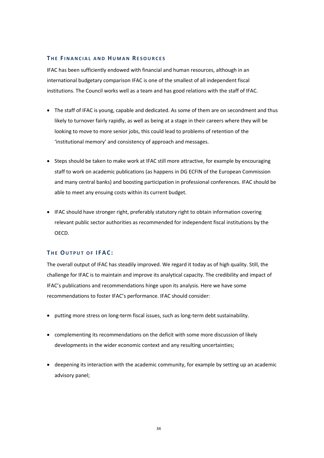#### **T HE F INANCIAL AND HUMAN RESOURCES**

IFAC has been sufficiently endowed with financial and human resources, although in an international budgetary comparison IFAC is one of the smallest of all independent fiscal institutions. The Council works well as a team and has good relations with the staff of IFAC.

- The staff of IFAC is young, capable and dedicated. As some of them are on secondment and thus likely to turnover fairly rapidly, as well as being at a stage in their careers where they will be looking to move to more senior jobs, this could lead to problems of retention of the 'institutional memory' and consistency of approach and messages.
- Steps should be taken to make work at IFAC still more attractive, for example by encouraging staff to work on academic publications (as happens in DG ECFIN of the European Commission and many central banks) and boosting participation in professional conferences. IFAC should be able to meet any ensuing costs within its current budget.
- IFAC should have stronger right, preferably statutory right to obtain information covering relevant public sector authorities as recommended for independent fiscal institutions by the OECD.

#### **T HE OUTPUT OF IFAC:**

The overall output of IFAC has steadily improved. We regard it today as of high quality. Still, the challenge for IFAC is to maintain and improve its analytical capacity. The credibility and impact of IFAC's publications and recommendations hinge upon its analysis. Here we have some recommendations to foster IFAC's performance. IFAC should consider:

- putting more stress on long-term fiscal issues, such as long-term debt sustainability.
- complementing its recommendations on the deficit with some more discussion of likely developments in the wider economic context and any resulting uncertainties;
- deepening its interaction with the academic community, for example by setting up an academic advisory panel;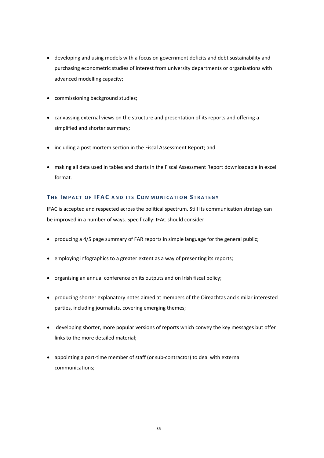- developing and using models with a focus on government deficits and debt sustainability and purchasing econometric studies of interest from university departments or organisations with advanced modelling capacity;
- commissioning background studies;
- canvassing external views on the structure and presentation of its reports and offering a simplified and shorter summary;
- including a post mortem section in the Fiscal Assessment Report; and
- making all data used in tables and charts in the Fiscal Assessment Report downloadable in excel format.

#### **T HE I MPACT OF IFAC AND ITS COMMUNICATION S TRATEGY**

IFAC is accepted and respected across the political spectrum. Still its communication strategy can be improved in a number of ways. Specifically: IFAC should consider

- producing a 4/5 page summary of FAR reports in simple language for the general public;
- employing infographics to a greater extent as a way of presenting its reports;
- organising an annual conference on its outputs and on Irish fiscal policy;
- producing shorter explanatory notes aimed at members of the Oireachtas and similar interested parties, including journalists, covering emerging themes;
- developing shorter, more popular versions of reports which convey the key messages but offer links to the more detailed material;
- appointing a part-time member of staff (or sub-contractor) to deal with external communications;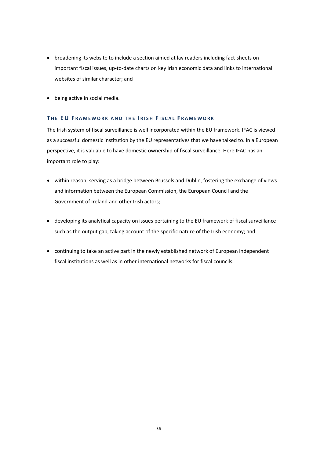- broadening its website to include a section aimed at lay readers including fact-sheets on important fiscal issues, up-to-date charts on key Irish economic data and links to international websites of similar character; and
- being active in social media.

#### **T HE E U F RAMEWORK AND THE I RISH F ISCAL F RAMEWORK**

The Irish system of fiscal surveillance is well incorporated within the EU framework. IFAC is viewed as a successful domestic institution by the EU representatives that we have talked to. In a European perspective, it is valuable to have domestic ownership of fiscal surveillance. Here IFAC has an important role to play:

- within reason, serving as a bridge between Brussels and Dublin, fostering the exchange of views and information between the European Commission, the European Council and the Government of Ireland and other Irish actors;
- developing its analytical capacity on issues pertaining to the EU framework of fiscal surveillance such as the output gap, taking account of the specific nature of the Irish economy; and
- continuing to take an active part in the newly established network of European independent fiscal institutions as well as in other international networks for fiscal councils.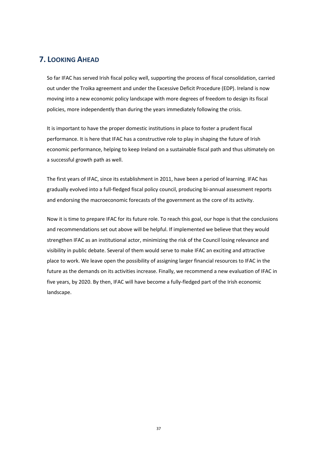## <span id="page-40-0"></span>**7. LOOKING AHEAD**

So far IFAC has served Irish fiscal policy well, supporting the process of fiscal consolidation, carried out under the Troika agreement and under the Excessive Deficit Procedure (EDP). Ireland is now moving into a new economic policy landscape with more degrees of freedom to design its fiscal policies, more independently than during the years immediately following the crisis.

It is important to have the proper domestic institutions in place to foster a prudent fiscal performance. It is here that IFAC has a constructive role to play in shaping the future of Irish economic performance, helping to keep Ireland on a sustainable fiscal path and thus ultimately on a successful growth path as well.

The first years of IFAC, since its establishment in 2011, have been a period of learning. IFAC has gradually evolved into a full-fledged fiscal policy council, producing bi-annual assessment reports and endorsing the macroeconomic forecasts of the government as the core of its activity.

Now it is time to prepare IFAC for its future role. To reach this goal, our hope is that the conclusions and recommendations set out above will be helpful. If implemented we believe that they would strengthen IFAC as an institutional actor, minimizing the risk of the Council losing relevance and visibility in public debate. Several of them would serve to make IFAC an exciting and attractive place to work. We leave open the possibility of assigning larger financial resources to IFAC in the future as the demands on its activities increase. Finally, we recommend a new evaluation of IFAC in five years, by 2020. By then, IFAC will have become a fully-fledged part of the Irish economic landscape.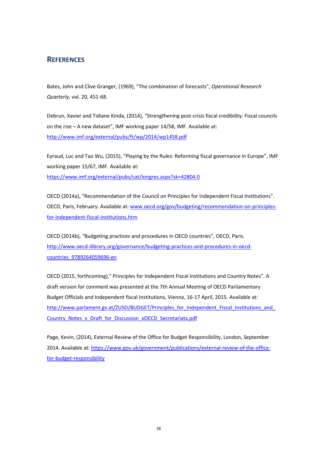## <span id="page-41-0"></span>**REFERENCES**

Bates, John and Clive Granger, (1969), "The combination of forecasts", *Operational Research Quarterly,* vol. 20, 451-68.

Debrun, Xavier and Tidiane Kinda, (2014), "Strengthening post-crisis fiscal credibility: Fiscal councils on the rise – A new dataset", IMF working paper 14/58, IMF. Available at: <http://www.imf.org/external/pubs/ft/wp/2014/wp1458.pdf>

Eyraud, Luc and Tao Wu, (2015), "Playing by the Rules: Reforming fiscal governance in Europe", IMF working paper 15/67, IMF. Available at: <https://www.imf.org/external/pubs/cat/longres.aspx?sk=42804.0>

OECD (2014a), "Recommendation of the Council on Principles for Independent Fiscal Institutions". OECD, Paris, February. Available at: [www.oecd.org/gov/budgeting/recommendation-on-principles](http://www.oecd.org/gov/budgeting/recommendation-on-principles-for-independent-fiscal-institutions.htm)[for-independent-fiscal-institutions.htm](http://www.oecd.org/gov/budgeting/recommendation-on-principles-for-independent-fiscal-institutions.htm)

OECD (2014b), "Budgeting practices and procedures in OECD countries", OECD, Paris. [http://www.oecd-ilibrary.org/governance/budgeting-practices-and-procedures-in-oecd](http://www.oecd-ilibrary.org/governance/budgeting-practices-and-procedures-in-oecd-countries_9789264059696-en)[countries\\_9789264059696-en](http://www.oecd-ilibrary.org/governance/budgeting-practices-and-procedures-in-oecd-countries_9789264059696-en)

OECD (2015, forthcoming)," Principles for Independent Fiscal Institutions and Country Notes". A draft version for comment was presented at the 7th Annual Meeting of OECD Parliamentary Budget Officials and Independent fiscal Institutions, Vienna, 16-17 April, 2015. Available at: http://www.parlament.gv.at/ZUSD/BUDGET/Principles for Independent Fiscal Institutions and [Country\\_Notes\\_x\\_Draft\\_for\\_Discussion\\_xOECD\\_Secretariatx.pdf](http://www.parlament.gv.at/ZUSD/BUDGET/Principles_for_Independent_Fiscal_Institutions_and_Country_Notes_x_Draft_for_Discussion_xOECD_Secretariatx.pdf)

Page, Kevin, (2014), External Review of the Office for Budget Responsibility, London, September 2014. Available at[: https://www.gov.uk/government/publications/external-review-of-the-office](https://www.gov.uk/government/publications/external-review-of-the-office-for-budget-responsibility)[for-budget-responsibility](https://www.gov.uk/government/publications/external-review-of-the-office-for-budget-responsibility)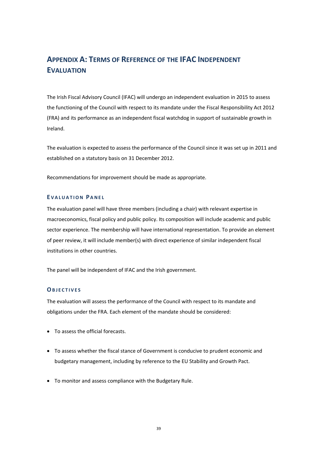## <span id="page-42-0"></span>**APPENDIX A: TERMS OF REFERENCE OF THE IFAC INDEPENDENT EVALUATION**

The Irish Fiscal Advisory Council (IFAC) will undergo an independent evaluation in 2015 to assess the functioning of the Council with respect to its mandate under the Fiscal Responsibility Act 2012 (FRA) and its performance as an independent fiscal watchdog in support of sustainable growth in Ireland.

The evaluation is expected to assess the performance of the Council since it was set up in 2011 and established on a statutory basis on 31 December 2012.

Recommendations for improvement should be made as appropriate.

#### **E VALUATION PANEL**

The evaluation panel will have three members (including a chair) with relevant expertise in macroeconomics, fiscal policy and public policy. Its composition will include academic and public sector experience. The membership will have international representation. To provide an element of peer review, it will include member(s) with direct experience of similar independent fiscal institutions in other countries.

The panel will be independent of IFAC and the Irish government.

#### **OBJECTIVES**

The evaluation will assess the performance of the Council with respect to its mandate and obligations under the FRA. Each element of the mandate should be considered:

- To assess the official forecasts.
- To assess whether the fiscal stance of Government is conducive to prudent economic and budgetary management, including by reference to the EU Stability and Growth Pact.
- To monitor and assess compliance with the Budgetary Rule.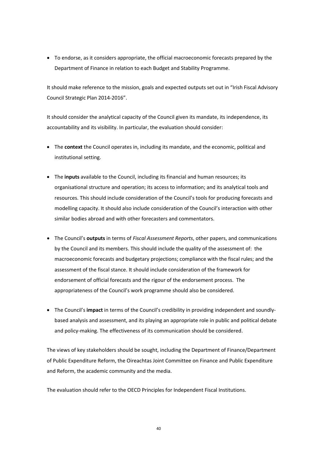• To endorse, as it considers appropriate, the official macroeconomic forecasts prepared by the Department of Finance in relation to each Budget and Stability Programme.

It should make reference to the mission, goals and expected outputs set out in "Irish Fiscal Advisory Council Strategic Plan 2014-2016".

It should consider the analytical capacity of the Council given its mandate, its independence, its accountability and its visibility. In particular, the evaluation should consider:

- The **context** the Council operates in, including its mandate, and the economic, political and institutional setting.
- The **inputs** available to the Council, including its financial and human resources; its organisational structure and operation; its access to information; and its analytical tools and resources. This should include consideration of the Council's tools for producing forecasts and modelling capacity. It should also include consideration of the Council's interaction with other similar bodies abroad and with other forecasters and commentators.
- The Council's **outputs** in terms of *Fiscal Assessment Reports*, other papers, and communications by the Council and its members. This should include the quality of the assessment of: the macroeconomic forecasts and budgetary projections; compliance with the fiscal rules; and the assessment of the fiscal stance. It should include consideration of the framework for endorsement of official forecasts and the rigour of the endorsement process. The appropriateness of the Council's work programme should also be considered.
- The Council's **impact** in terms of the Council's credibility in providing independent and soundlybased analysis and assessment, and its playing an appropriate role in public and political debate and policy-making. The effectiveness of its communication should be considered.

The views of key stakeholders should be sought, including the Department of Finance/Department of Public Expenditure Reform, the Oireachtas Joint Committee on Finance and Public Expenditure and Reform, the academic community and the media.

The evaluation should refer to the OECD Principles for Independent Fiscal Institutions.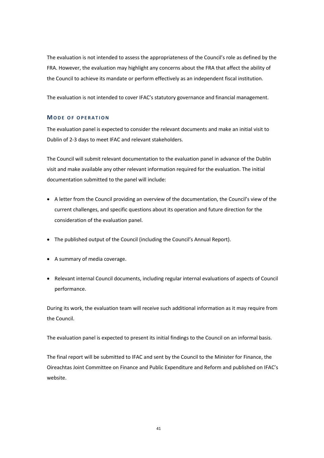The evaluation is not intended to assess the appropriateness of the Council's role as defined by the FRA. However, the evaluation may highlight any concerns about the FRA that affect the ability of the Council to achieve its mandate or perform effectively as an independent fiscal institution.

The evaluation is not intended to cover IFAC's statutory governance and financial management.

#### **MODE OF OPERATION**

The evaluation panel is expected to consider the relevant documents and make an initial visit to Dublin of 2-3 days to meet IFAC and relevant stakeholders.

The Council will submit relevant documentation to the evaluation panel in advance of the Dublin visit and make available any other relevant information required for the evaluation. The initial documentation submitted to the panel will include:

- A letter from the Council providing an overview of the documentation, the Council's view of the current challenges, and specific questions about its operation and future direction for the consideration of the evaluation panel.
- The published output of the Council (including the Council's Annual Report).
- A summary of media coverage.
- Relevant internal Council documents, including regular internal evaluations of aspects of Council performance.

During its work, the evaluation team will receive such additional information as it may require from the Council.

The evaluation panel is expected to present its initial findings to the Council on an informal basis.

The final report will be submitted to IFAC and sent by the Council to the Minister for Finance, the Oireachtas Joint Committee on Finance and Public Expenditure and Reform and published on IFAC's website.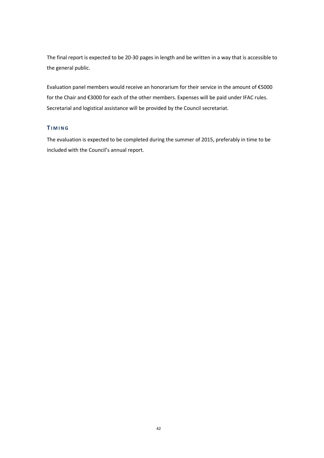The final report is expected to be 20-30 pages in length and be written in a way that is accessible to the general public.

Evaluation panel members would receive an honorarium for their service in the amount of €5000 for the Chair and €3000 for each of the other members. Expenses will be paid under IFAC rules. Secretarial and logistical assistance will be provided by the Council secretariat.

#### **T IMING**

The evaluation is expected to be completed during the summer of 2015, preferably in time to be included with the Council's annual report.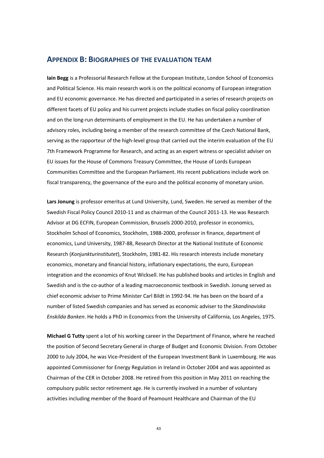#### <span id="page-46-0"></span>**APPENDIX B: BIOGRAPHIES OF THE EVALUATION TEAM**

**Iain Begg** is a Professorial Research Fellow at the European Institute, London School of Economics and Political Science. His main research work is on the political economy of European integration and EU economic governance. He has directed and participated in a series of research projects on different facets of EU policy and his current projects include studies on fiscal policy coordination and on the long-run determinants of employment in the EU. He has undertaken a number of advisory roles, including being a member of the research committee of the Czech National Bank, serving as the rapporteur of the high-level group that carried out the interim evaluation of the EU 7th Framework Programme for Research, and acting as an expert witness or specialist adviser on EU issues for the House of Commons Treasury Committee, the House of Lords European Communities Committee and the European Parliament. His recent publications include work on fiscal transparency, the governance of the euro and the political economy of monetary union.

**Lars Jonung** is professor emeritus at Lund University, Lund, Sweden. He served as member of the Swedish Fiscal Policy Council 2010-11 and as chairman of the Council 2011-13. He was Research Advisor at DG ECFIN, European Commission, Brussels 2000-2010, professor in economics, Stockholm School of Economics, Stockholm, 1988-2000, professor in finance, department of economics, Lund University, 1987-88, Research Director at the National Institute of Economic Research (*Konjunkturinstitutet*), Stockholm, 1981-82. His research interests include monetary economics, monetary and financial history, inflationary expectations, the euro, European integration and the economics of Knut Wicksell. He has published books and articles in English and Swedish and is the co-author of a leading macroeconomic textbook in Swedish. Jonung served as chief economic adviser to Prime Minister Carl Bildt in 1992-94. He has been on the board of a number of listed Swedish companies and has served as economic adviser to the *Skandinaviska Enskilda Banken*. He holds a PhD in Economics from the University of California, Los Angeles, 1975.

**Michael G Tutty** spent a lot of his working career in the Department of Finance, where he reached the position of Second Secretary General in charge of Budget and Economic Division. From October 2000 to July 2004, he was Vice-President of the European Investment Bank in Luxembourg. He was appointed Commissioner for Energy Regulation in Ireland in October 2004 and was appointed as Chairman of the CER in October 2008. He retired from this position in May 2011 on reaching the compulsory public sector retirement age. He is currently involved in a number of voluntary activities including member of the Board of Peamount Healthcare and Chairman of the EU

43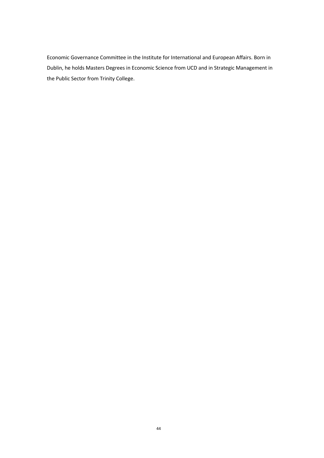Economic Governance Committee in the Institute for International and European Affairs. Born in Dublin, he holds Masters Degrees in Economic Science from UCD and in Strategic Management in the Public Sector from Trinity College.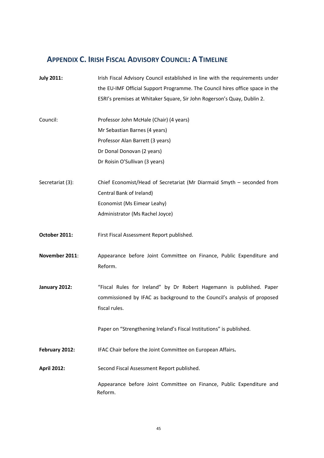## <span id="page-48-0"></span>**APPENDIX C. IRISH FISCAL ADVISORY COUNCIL: A TIMELINE**

**July 2011:** Irish Fiscal Advisory Council established in line with the requirements under the EU-IMF Official Support Programme. The Council hires office space in the ESRI's premises at Whitaker Square, Sir John Rogerson's Quay, Dublin 2. Council: Professor John McHale (Chair) (4 years) Mr Sebastian Barnes (4 years) Professor Alan Barrett (3 years) Dr Donal Donovan (2 years) Dr Roisin O'Sullivan (3 years) Secretariat (3): Chief Economist/Head of Secretariat (Mr Diarmaid Smyth – seconded from Central Bank of Ireland) Economist (Ms Eimear Leahy) Administrator (Ms Rachel Joyce) **October 2011:** First Fiscal Assessment Report published. **November 2011**: Appearance before Joint Committee on Finance, Public Expenditure and Reform. **January 2012:** "Fiscal Rules for Ireland" by Dr Robert Hagemann is published. Paper commissioned by IFAC as background to the Council's analysis of proposed fiscal rules. Paper on "Strengthening Ireland's Fiscal Institutions" is published. **February 2012:** IFAC Chair before the Joint Committee on European Affairs**.** April 2012: Second Fiscal Assessment Report published.

> Appearance before Joint Committee on Finance, Public Expenditure and Reform.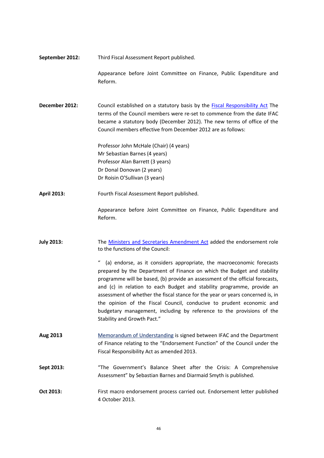| Third Fiscal Assessment Report published.<br>September 2012: |  |
|--------------------------------------------------------------|--|
|--------------------------------------------------------------|--|

Appearance before Joint Committee on Finance, Public Expenditure and Reform.

**December 2012:** Council established on a statutory basis by the [Fiscal Responsibility Act](http://www.fiscalcouncil.ie/wp-content/uploads/2013/02/FRA.pdf) The terms of the Council members were re-set to commence from the date IFAC became a statutory body (December 2012). The new terms of office of the Council members effective from December 2012 are as follows:

> Professor John McHale (Chair) (4 years) Mr Sebastian Barnes (4 years) Professor Alan Barrett (3 years) Dr Donal Donovan (2 years) Dr Roisin O'Sullivan (3 years)

**April 2013:** Fourth Fiscal Assessment Report published.

Appearance before Joint Committee on Finance, Public Expenditure and Reform.

**July 2013:** The [Ministers and Secretaries Amendment Act](http://www.fiscalcouncil.ie/wp-content/uploads/2011/07/en.act_.2013.0029.pdf) added the endorsement role to the functions of the Council:

> " (a) endorse, as it considers appropriate, the macroeconomic forecasts prepared by the Department of Finance on which the Budget and stability programme will be based, (b) provide an assessment of the official forecasts, and (c) in relation to each Budget and stability programme, provide an assessment of whether the fiscal stance for the year or years concerned is, in the opinion of the Fiscal Council, conducive to prudent economic and budgetary management, including by reference to the provisions of the Stability and Growth Pact."

- **Aug 2013** [Memorandum of Understanding](http://www.fiscalcouncil.ie/wp-content/uploads/2011/07/Signed-MoU-Feb-2015.pdf) is signed between IFAC and the Department of Finance relating to the "Endorsement Function" of the Council under the Fiscal Responsibility Act as amended 2013.
- **Sept 2013:** "The Government's Balance Sheet after the Crisis: A Comprehensive Assessment" by Sebastian Barnes and Diarmaid Smyth is published.
- **Oct 2013:** First macro endorsement process carried out. Endorsement letter published 4 October 2013.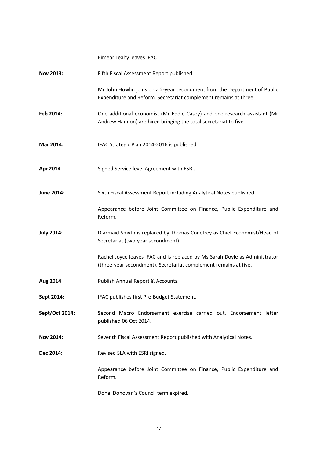|                   | Eimear Leahy leaves IFAC                                                                                                                        |
|-------------------|-------------------------------------------------------------------------------------------------------------------------------------------------|
| Nov 2013:         | Fifth Fiscal Assessment Report published.                                                                                                       |
|                   | Mr John Howlin joins on a 2-year secondment from the Department of Public<br>Expenditure and Reform. Secretariat complement remains at three.   |
| Feb 2014:         | One additional economist (Mr Eddie Casey) and one research assistant (Mr<br>Andrew Hannon) are hired bringing the total secretariat to five.    |
| Mar 2014:         | IFAC Strategic Plan 2014-2016 is published.                                                                                                     |
| Apr 2014          | Signed Service level Agreement with ESRI.                                                                                                       |
| June 2014:        | Sixth Fiscal Assessment Report including Analytical Notes published.                                                                            |
|                   | Appearance before Joint Committee on Finance, Public Expenditure and<br>Reform.                                                                 |
| <b>July 2014:</b> | Diarmaid Smyth is replaced by Thomas Conefrey as Chief Economist/Head of<br>Secretariat (two-year secondment).                                  |
|                   | Rachel Joyce leaves IFAC and is replaced by Ms Sarah Doyle as Administrator<br>(three-year secondment). Secretariat complement remains at five. |
| Aug 2014          | Publish Annual Report & Accounts.                                                                                                               |
| Sept 2014:        | IFAC publishes first Pre-Budget Statement.                                                                                                      |
| Sept/Oct 2014:    | Second Macro Endorsement exercise carried out. Endorsement letter<br>published 06 Oct 2014.                                                     |
| <b>Nov 2014:</b>  | Seventh Fiscal Assessment Report published with Analytical Notes.                                                                               |
| Dec 2014:         | Revised SLA with ESRI signed.                                                                                                                   |
|                   | Appearance before Joint Committee on Finance, Public Expenditure and<br>Reform.                                                                 |
|                   | Donal Donovan's Council term expired.                                                                                                           |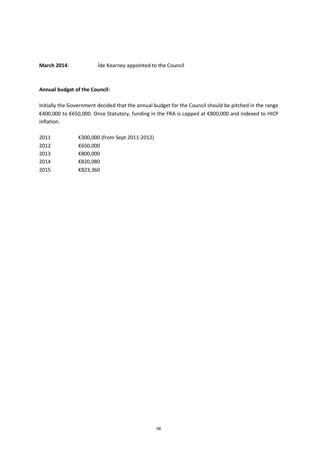## March 2014: **March 2014**: *Íde Kearney appointed to the Council*

#### **Annual budget of the Council:**

Initially the Government decided that the annual budget for the Council should be pitched in the range €400,000 to €650,000. Once Statutory, funding in the FRA is capped at €800,000 and indexed to HICP inflation.

| 2011 | €300,000 (from Sept 2011-2012) |
|------|--------------------------------|
| 2012 | €650,000                       |
| 2013 | €800,000                       |
| 2014 | €820.080                       |
| 2015 | €823,360                       |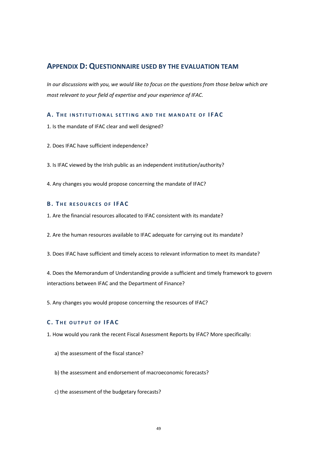## <span id="page-52-0"></span>**APPENDIX D: QUESTIONNAIRE USED BY THE EVALUATION TEAM**

*In our discussions with you, we would like to focus on the questions from those below which are most relevant to your field of expertise and your experience of IFAC.* 

#### **A.** THE INSTITUTIONAL SETTING AND THE MANDATE OF IFAC

- 1. Is the mandate of IFAC clear and well designed?
- 2. Does IFAC have sufficient independence?

3. Is IFAC viewed by the Irish public as an independent institution/authority?

4. Any changes you would propose concerning the mandate of IFAC?

#### **B.** THE RESOURCES OF IFAC

- 1. Are the financial resources allocated to IFAC consistent with its mandate?
- 2. Are the human resources available to IFAC adequate for carrying out its mandate?
- 3. Does IFAC have sufficient and timely access to relevant information to meet its mandate?

4. Does the Memorandum of Understanding provide a sufficient and timely framework to govern interactions between IFAC and the Department of Finance?

5. Any changes you would propose concerning the resources of IFAC?

#### **C . T HE OUTPUT OF IFAC**

- 1. How would you rank the recent Fiscal Assessment Reports by IFAC? More specifically:
	- a) the assessment of the fiscal stance?
	- b) the assessment and endorsement of macroeconomic forecasts?
	- c) the assessment of the budgetary forecasts?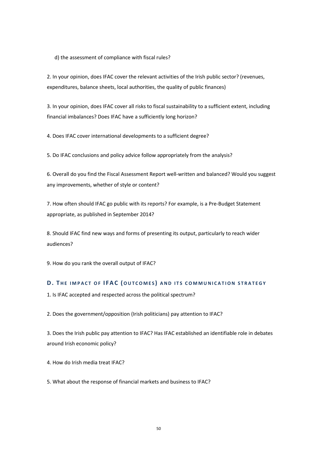d) the assessment of compliance with fiscal rules?

2. In your opinion, does IFAC cover the relevant activities of the Irish public sector? (revenues, expenditures, balance sheets, local authorities, the quality of public finances)

3. In your opinion, does IFAC cover all risks to fiscal sustainability to a sufficient extent, including financial imbalances? Does IFAC have a sufficiently long horizon?

4. Does IFAC cover international developments to a sufficient degree?

5. Do IFAC conclusions and policy advice follow appropriately from the analysis?

6. Overall do you find the Fiscal Assessment Report well-written and balanced? Would you suggest any improvements, whether of style or content?

7. How often should IFAC go public with its reports? For example, is a Pre-Budget Statement appropriate, as published in September 2014?

8. Should IFAC find new ways and forms of presenting its output, particularly to reach wider audiences?

9. How do you rank the overall output of IFAC?

#### **D . T HE IMPACT OF IFAC (OUTCOMES ) AND ITS COMMUNICATION ST RATEGY**

1. Is IFAC accepted and respected across the political spectrum?

2. Does the government/opposition (Irish politicians) pay attention to IFAC?

3. Does the Irish public pay attention to IFAC? Has IFAC established an identifiable role in debates around Irish economic policy?

4. How do Irish media treat IFAC?

5. What about the response of financial markets and business to IFAC?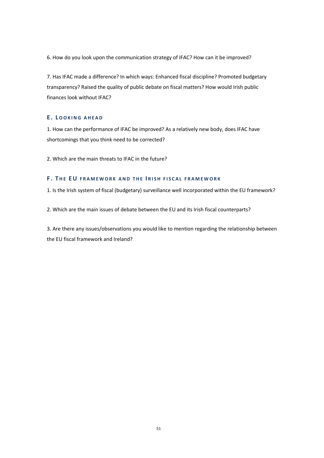6. How do you look upon the communication strategy of IFAC? How can it be improved?

7. Has IFAC made a difference? In which ways: Enhanced fiscal discipline? Promoted budgetary transparency? Raised the quality of public debate on fiscal matters? How would Irish public finances look without IFAC?

#### **E . LOOKING AHEAD**

1. How can the performance of IFAC be improved? As a relatively new body, does IFAC have shortcomings that you think need to be corrected?

2. Which are the main threats to IFAC in the future?

#### **F . T HE E U FRAMEWORK AND THE I RISH FISCAL FRAMEWOR K**

1. Is the Irish system of fiscal (budgetary) surveillance well incorporated within the EU framework?

2. Which are the main issues of debate between the EU and its Irish fiscal counterparts?

3. Are there any issues/observations you would like to mention regarding the relationship between the EU fiscal framework and Ireland?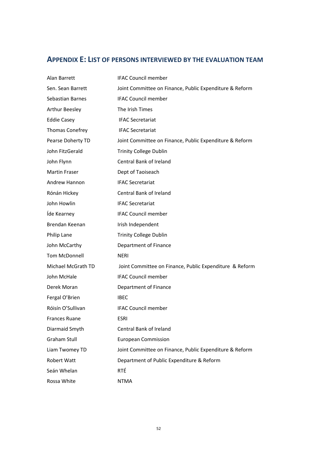## <span id="page-55-0"></span>**APPENDIX E: LIST OF PERSONS INTERVIEWED BY THE EVALUATION TEAM**

| Alan Barrett         | <b>IFAC Council member</b>                              |
|----------------------|---------------------------------------------------------|
| Sen. Sean Barrett    | Joint Committee on Finance, Public Expenditure & Reform |
| Sebastian Barnes     | <b>IFAC Council member</b>                              |
| Arthur Beesley       | The Irish Times                                         |
| <b>Eddie Casey</b>   | <b>IFAC Secretariat</b>                                 |
| Thomas Conefrey      | <b>IFAC Secretariat</b>                                 |
| Pearse Doherty TD    | Joint Committee on Finance, Public Expenditure & Reform |
| John FitzGerald      | <b>Trinity College Dublin</b>                           |
| John Flynn           | Central Bank of Ireland                                 |
| <b>Martin Fraser</b> | Dept of Taoiseach                                       |
| Andrew Hannon        | <b>IFAC Secretariat</b>                                 |
| Rónán Hickey         | Central Bank of Ireland                                 |
| John Howlin          | <b>IFAC Secretariat</b>                                 |
| Íde Kearney          | <b>IFAC Council member</b>                              |
| Brendan Keenan       | Irish Independent                                       |
| Philip Lane          | <b>Trinity College Dublin</b>                           |
| John McCarthy        | Department of Finance                                   |
| Tom McDonnell        | <b>NERI</b>                                             |
| Michael McGrath TD   | Joint Committee on Finance, Public Expenditure & Reform |
| John McHale          | <b>IFAC Council member</b>                              |
| Derek Moran          | Department of Finance                                   |
| Fergal O'Brien       | <b>IBEC</b>                                             |
| Róisín O'Sullivan    | <b>IFAC Council member</b>                              |
| Frances Ruane        | ESRI                                                    |
| Diarmaid Smyth       | Central Bank of Ireland                                 |
| <b>Graham Stull</b>  | <b>European Commission</b>                              |
| Liam Twomey TD       | Joint Committee on Finance, Public Expenditure & Reform |
| Robert Watt          | Department of Public Expenditure & Reform               |
| Seán Whelan          | RTÉ                                                     |
| Rossa White          | <b>NTMA</b>                                             |